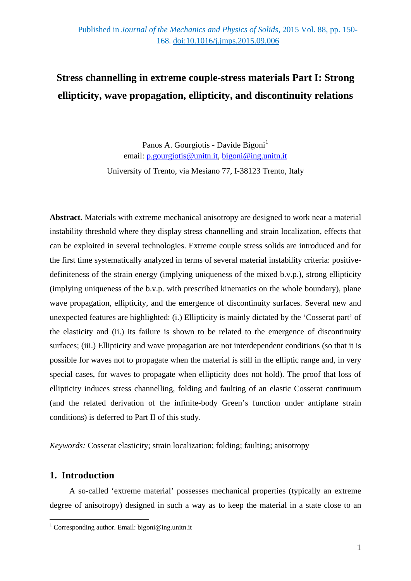# **Stress channelling in extreme couple-stress materials Part I: Strong ellipticity, wave propagation, ellipticity, and discontinuity relations**

Panos A. Gourgiotis - Davide Bigoni<sup>[1](#page-0-0)</sup> email: [p.gourgiotis@unitn.it,](mailto:p.gourgiotis@unitn.it) [bigoni@ing.unitn.it](mailto:bigoni@ing.unitn.it)

University of Trento, via Mesiano 77, I-38123 Trento, Italy

**Abstract.** Materials with extreme mechanical anisotropy are designed to work near a material instability threshold where they display stress channelling and strain localization, effects that can be exploited in several technologies. Extreme couple stress solids are introduced and for the first time systematically analyzed in terms of several material instability criteria: positivedefiniteness of the strain energy (implying uniqueness of the mixed b.v.p.), strong ellipticity (implying uniqueness of the b.v.p. with prescribed kinematics on the whole boundary), plane wave propagation, ellipticity, and the emergence of discontinuity surfaces. Several new and unexpected features are highlighted: (i.) Ellipticity is mainly dictated by the 'Cosserat part' of the elasticity and (ii.) its failure is shown to be related to the emergence of discontinuity surfaces; (iii.) Ellipticity and wave propagation are not interdependent conditions (so that it is possible for waves not to propagate when the material is still in the elliptic range and, in very special cases, for waves to propagate when ellipticity does not hold). The proof that loss of ellipticity induces stress channelling, folding and faulting of an elastic Cosserat continuum (and the related derivation of the infinite-body Green's function under antiplane strain conditions) is deferred to Part II of this study.

*Keywords:* Cosserat elasticity; strain localization; folding; faulting; anisotropy

# **1. Introduction**

-

A so-called 'extreme material' possesses mechanical properties (typically an extreme degree of anisotropy) designed in such a way as to keep the material in a state close to an

<span id="page-0-0"></span><sup>&</sup>lt;sup>1</sup> Corresponding author. Email: bigoni@ing.unitn.it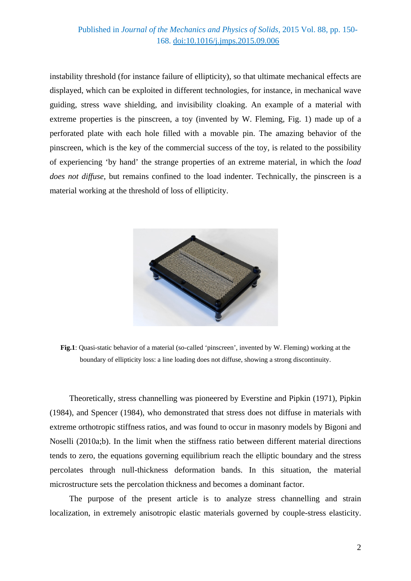## Published in *Journal of the Mechanics and Physics of Solids*, 2015 Vol. 88, pp. 150- 168. [doi:10.1016/j.jmps.2015.09.006](http://dx.doi.org/10.1016/j.jmps.2015.09.006)

instability threshold (for instance failure of ellipticity), so that ultimate mechanical effects are displayed, which can be exploited in different technologies, for instance, in mechanical wave guiding, stress wave shielding, and invisibility cloaking. An example of a material with extreme properties is the pinscreen, a toy (invented by W. Fleming, Fig. 1) made up of a perforated plate with each hole filled with a movable pin. The amazing behavior of the pinscreen, which is the key of the commercial success of the toy, is related to the possibility of experiencing 'by hand' the strange properties of an extreme material, in which the *load does not diffuse*, but remains confined to the load indenter. Technically, the pinscreen is a material working at the threshold of loss of ellipticity.



**Fig.1**: Quasi-static behavior of a material (so-called 'pinscreen', invented by W. Fleming) working at the boundary of ellipticity loss: a line loading does not diffuse, showing a strong discontinuity.

Theoretically, stress channelling was pioneered by Everstine and Pipkin (1971), Pipkin (1984), and Spencer (1984), who demonstrated that stress does not diffuse in materials with extreme orthotropic stiffness ratios, and was found to occur in masonry models by Bigoni and Noselli (2010a;b). In the limit when the stiffness ratio between different material directions tends to zero, the equations governing equilibrium reach the elliptic boundary and the stress percolates through null-thickness deformation bands. In this situation, the material microstructure sets the percolation thickness and becomes a dominant factor.

The purpose of the present article is to analyze stress channelling and strain localization, in extremely anisotropic elastic materials governed by couple-stress elasticity.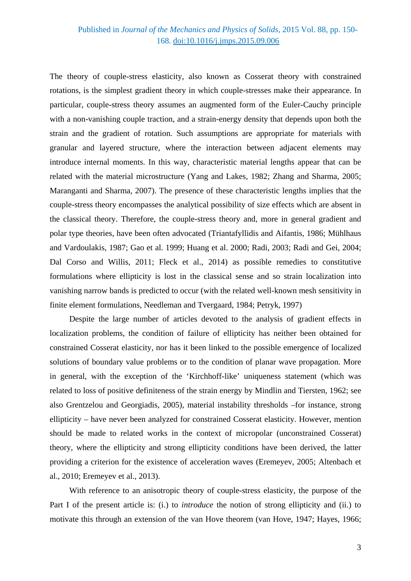# Published in *Journal of the Mechanics and Physics of Solids*, 2015 Vol. 88, pp. 150- 168. [doi:10.1016/j.jmps.2015.09.006](http://dx.doi.org/10.1016/j.jmps.2015.09.006)

The theory of couple-stress elasticity, also known as Cosserat theory with constrained rotations, is the simplest gradient theory in which couple-stresses make their appearance. In particular, couple-stress theory assumes an augmented form of the Euler-Cauchy principle with a non-vanishing couple traction, and a strain-energy density that depends upon both the strain and the gradient of rotation. Such assumptions are appropriate for materials with granular and layered structure, where the interaction between adjacent elements may introduce internal moments. In this way, characteristic material lengths appear that can be related with the material microstructure (Yang and Lakes, 1982; Zhang and Sharma, 2005; Maranganti and Sharma, 2007). The presence of these characteristic lengths implies that the couple-stress theory encompasses the analytical possibility of size effects which are absent in the classical theory. Therefore, the couple-stress theory and, more in general gradient and polar type theories, have been often advocated (Triantafyllidis and Aifantis, 1986; Mühlhaus and Vardoulakis, 1987; Gao et al. 1999; Huang et al. 2000; Radi, 2003; Radi and Gei, 2004; [Dal Corso and Willis, 2011;](#page-42-0) Fleck et al., 2014) as possible remedies to constitutive formulations where ellipticity is lost in the classical sense and so strain localization into vanishing narrow bands is predicted to occur (with the related well-known mesh sensitivity in finite element formulations, Needleman and Tvergaard, 1984; Petryk, 1997)

Despite the large number of articles devoted to the analysis of gradient effects in localization problems, the condition of failure of ellipticity has neither been obtained for constrained Cosserat elasticity, nor has it been linked to the possible emergence of localized solutions of boundary value problems or to the condition of planar wave propagation. More in general, with the exception of the 'Kirchhoff-like' uniqueness statement (which was related to loss of positive definiteness of the strain energy by Mindlin and Tiersten, 1962; see also Grentzelou and Georgiadis, 2005), material instability thresholds –for instance, strong ellipticity – have never been analyzed for constrained Cosserat elasticity. However, mention should be made to related works in the context of micropolar (unconstrained Cosserat) theory, where the ellipticity and strong ellipticity conditions have been derived, the latter providing a criterion for the existence of acceleration waves (Eremeyev, 2005; Altenbach et al., 2010; Eremeyev et al., 2013).

With reference to an anisotropic theory of couple-stress elasticity, the purpose of the Part I of the present article is: (i.) to *introduce* the notion of strong ellipticity and (ii.) to motivate this through an extension of the van Hove theorem (van Hove, 1947; Hayes, 1966;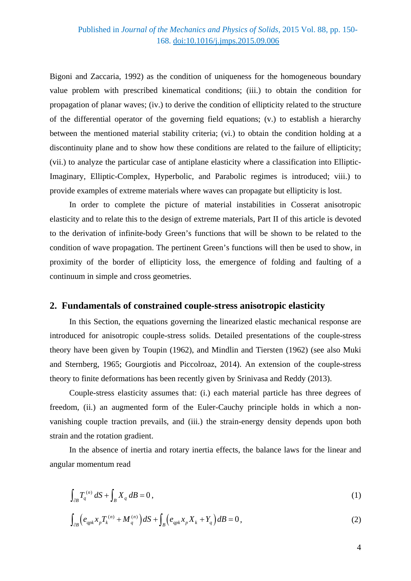Bigoni and Zaccaria, 1992) as the condition of uniqueness for the homogeneous boundary value problem with prescribed kinematical conditions; (iii.) to obtain the condition for propagation of planar waves; (iv.) to derive the condition of ellipticity related to the structure of the differential operator of the governing field equations; (v.) to establish a hierarchy between the mentioned material stability criteria; (vi.) to obtain the condition holding at a discontinuity plane and to show how these conditions are related to the failure of ellipticity; (vii.) to analyze the particular case of antiplane elasticity where a classification into Elliptic-Imaginary, Elliptic-Complex, Hyperbolic, and Parabolic regimes is introduced; viii.) to provide examples of extreme materials where waves can propagate but ellipticity is lost.

In order to complete the picture of material instabilities in Cosserat anisotropic elasticity and to relate this to the design of extreme materials, Part II of this article is devoted to the derivation of infinite-body Green's functions that will be shown to be related to the condition of wave propagation. The pertinent Green's functions will then be used to show, in proximity of the border of ellipticity loss, the emergence of folding and faulting of a continuum in simple and cross geometries.

## **2. Fundamentals of constrained couple-stress anisotropic elasticity**

In this Section, the equations governing the linearized elastic mechanical response are introduced for anisotropic couple-stress solids. Detailed presentations of the couple-stress theory have been given by Toupin (1962), and Mindlin and Tiersten (1962) (see also Muki and Sternberg, 1965; Gourgiotis and Piccolroaz, 2014). An extension of the couple-stress theory to finite deformations has been recently given by Srinivasa and Reddy (2013).

Couple-stress elasticity assumes that: (i.) each material particle has three degrees of freedom, (ii.) an augmented form of the Euler-Cauchy principle holds in which a nonvanishing couple traction prevails, and (iii.) the strain-energy density depends upon both strain and the rotation gradient.

In the absence of inertia and rotary inertia effects, the balance laws for the linear and angular momentum read

$$
\int_{\partial B} T_q^{(n)} dS + \int_B X_q dB = 0,
$$
\n(1)

$$
\int_{\partial B} \Big( e_{qpk} x_p T_k^{(n)} + M_q^{(n)} \Big) dS + \int_B \Big( e_{qpk} x_p X_k + Y_q \Big) dB = 0 \,, \tag{2}
$$

4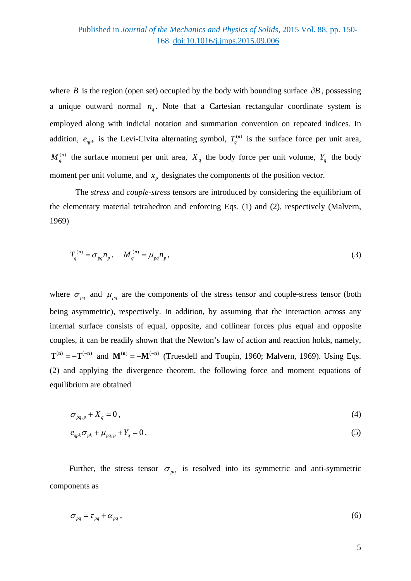where *B* is the region (open set) occupied by the body with bounding surface ∂*B* , possessing a unique outward normal  $n_a$ . Note that a Cartesian rectangular coordinate system is employed along with indicial notation and summation convention on repeated indices. In addition,  $e_{qpk}$  is the Levi-Civita alternating symbol,  $T_q^{(n)}$  is the surface force per unit area,  $M_q^{(n)}$  the surface moment per unit area,  $X_q$  the body force per unit volume,  $Y_q$  the body moment per unit volume, and  $x_p$  designates the components of the position vector.

The *stress* and *couple-stress* tensors are introduced by considering the equilibrium of the elementary material tetrahedron and enforcing Eqs. (1) and (2), respectively (Malvern, 1969)

$$
T_q^{(n)} = \sigma_{pq} n_p, \quad M_q^{(n)} = \mu_{pq} n_p,
$$
 (3)

where  $\sigma_{pq}$  and  $\mu_{pq}$  are the components of the stress tensor and couple-stress tensor (both being asymmetric), respectively. In addition, by assuming that the interaction across any internal surface consists of equal, opposite, and collinear forces plus equal and opposite couples, it can be readily shown that the Newton's law of action and reaction holds, namely,  $T^{(n)} = -T^{(-n)}$  and  $M^{(n)} = -M^{(-n)}$  (Truesdell and Toupin, 1960; Malvern, 1969). Using Eqs. (2) and applying the divergence theorem, the following force and moment equations of equilibrium are obtained

$$
\sigma_{pq,p} + X_q = 0 \tag{4}
$$

$$
e_{qpk}\sigma_{pk} + \mu_{pq,p} + Y_q = 0.
$$
\n<sup>(5)</sup>

Further, the stress tensor  $\sigma_{pq}$  is resolved into its symmetric and anti-symmetric components as

$$
\sigma_{pq} = \tau_{pq} + \alpha_{pq} \,, \tag{6}
$$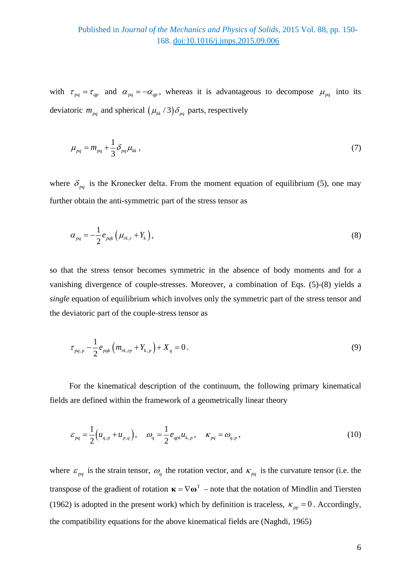with  $\tau_{pq} = \tau_{qp}$  and  $\alpha_{pq} = -\alpha_{qp}$ , whereas it is advantageous to decompose  $\mu_{pq}$  into its deviatoric  $m_{pq}$  and spherical  $(\mu_{kk}/3)\delta_{pq}$  parts, respectively

$$
\mu_{pq} = m_{pq} + \frac{1}{3} \delta_{pq} \mu_{kk} \,, \tag{7}
$$

where  $\delta_{pq}$  is the Kronecker delta. From the moment equation of equilibrium (5), one may further obtain the anti-symmetric part of the stress tensor as

$$
\alpha_{pq} = -\frac{1}{2} e_{pqk} \left( \mu_{rk,r} + Y_k \right), \tag{8}
$$

so that the stress tensor becomes symmetric in the absence of body moments and for a vanishing divergence of couple-stresses. Moreover, a combination of Eqs. (5)-(8) yields a *single* equation of equilibrium which involves only the symmetric part of the stress tensor and the deviatoric part of the couple-stress tensor as

$$
\tau_{pq,p} - \frac{1}{2} e_{pqk} \left( m_{rk,rp} + Y_{k,p} \right) + X_q = 0 \,. \tag{9}
$$

For the kinematical description of the continuum, the following primary kinematical fields are defined within the framework of a geometrically linear theory

$$
\varepsilon_{pq} = \frac{1}{2} \Big( u_{q,p} + u_{p,q} \Big), \quad \omega_q = \frac{1}{2} e_{qpk} u_{k,p}, \quad \kappa_{pq} = \omega_{q,p}, \tag{10}
$$

where  $\varepsilon_{pq}$  is the strain tensor,  $\omega_q$  the rotation vector, and  $\kappa_{pq}$  is the curvature tensor (i.e. the transpose of the gradient of rotation  $\mathbf{k} = \nabla \mathbf{\omega}^T$  – note that the notation of Mindlin and Tiersten (1962) is adopted in the present work) which by definition is traceless,  $\kappa_{pp} = 0$ . Accordingly, the compatibility equations for the above kinematical fields are (Naghdi, 1965)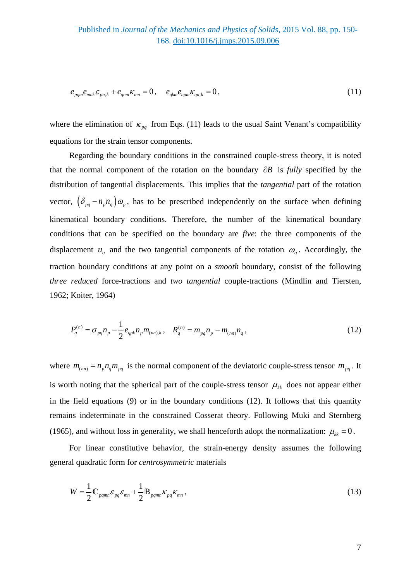$$
e_{\rho q m} e_{mnk} \varepsilon_{pn,k} + e_{q m m} \varepsilon_{mn} = 0, \quad e_{q km} e_{np m} \varepsilon_{qn,k} = 0, \tag{11}
$$

where the elimination of  $\kappa_{pq}$  from Eqs. (11) leads to the usual Saint Venant's compatibility equations for the strain tensor components.

Regarding the boundary conditions in the constrained couple-stress theory, it is noted that the normal component of the rotation on the boundary ∂*B* is *fully* specified by the distribution of tangential displacements. This implies that the *tangential* part of the rotation vector,  $(\delta_{pq} - n_p n_q) \omega_p$ , has to be prescribed independently on the surface when defining kinematical boundary conditions. Therefore, the number of the kinematical boundary conditions that can be specified on the boundary are *five*: the three components of the displacement  $u_q$  and the two tangential components of the rotation  $\omega_q$ . Accordingly, the traction boundary conditions at any point on a *smooth* boundary, consist of the following *three reduced* force-tractions and *two tangential* couple-tractions (Mindlin and Tiersten, 1962; Koiter, 1964)

$$
P_q^{(n)} = \sigma_{pq} n_p - \frac{1}{2} e_{qpk} n_p m_{(nn),k}, \quad R_q^{(n)} = m_{pq} n_p - m_{(nn)} n_q, \tag{12}
$$

where  $m_{(mn)} = n_p n_q m_{pq}$  is the normal component of the deviatoric couple-stress tensor  $m_{pq}$ . It is worth noting that the spherical part of the couple-stress tensor  $\mu_{kk}$  does not appear either in the field equations (9) or in the boundary conditions (12). It follows that this quantity remains indeterminate in the constrained Cosserat theory. Following Muki and Sternberg (1965), and without loss in generality, we shall henceforth adopt the normalization:  $\mu_{kk} = 0$ .

For linear constitutive behavior, the strain-energy density assumes the following general quadratic form for *centrosymmetric* materials

$$
W = \frac{1}{2} \mathbb{C}_{pqmn} \varepsilon_{pq} \varepsilon_{mn} + \frac{1}{2} \mathbb{B}_{pqmn} \kappa_{pq} \kappa_{mn},
$$
\n(13)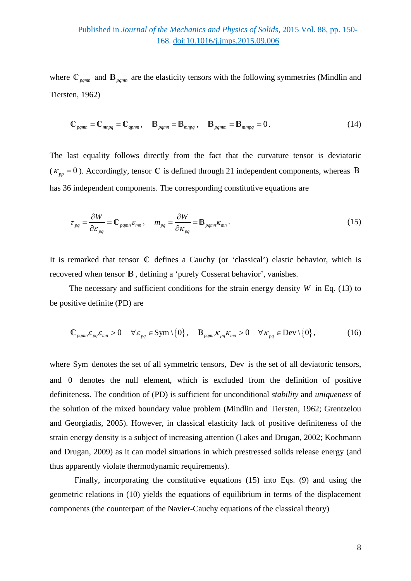where  $\mathbb{C}_{pqmn}$  and  $\mathbb{B}_{pqmn}$  are the elasticity tensors with the following symmetries (Mindlin and Tiersten, 1962)

$$
\mathbb{C}_{pqmn} = \mathbb{C}_{mnpq} = \mathbb{C}_{qpnm}, \quad \mathbb{B}_{pqmn} = \mathbb{B}_{mnpq}, \quad \mathbb{B}_{pqmm} = \mathbb{B}_{mmpq} = 0. \tag{14}
$$

The last equality follows directly from the fact that the curvature tensor is deviatoric  $(K_{pp} = 0)$ . Accordingly, tensor  $\mathbb{C}$  is defined through 21 independent components, whereas  $\mathbb{B}$ has 36 independent components. The corresponding constitutive equations are

$$
\tau_{pq} = \frac{\partial W}{\partial \varepsilon_{pq}} = \mathbb{C}_{pqmn} \varepsilon_{mn}, \quad m_{pq} = \frac{\partial W}{\partial \kappa_{pq}} = \mathbb{B}_{pqmn} \kappa_{mn}.
$$
 (15)

It is remarked that tensor **C** defines a Cauchy (or 'classical') elastic behavior, which is recovered when tensor B, defining a 'purely Cosserat behavior', vanishes.

The necessary and sufficient conditions for the strain energy density  $W$  in Eq. (13) to be positive definite (PD) are

$$
\mathbb{C}_{pqmn}\varepsilon_{pq}\varepsilon_{mn} > 0 \quad \forall \varepsilon_{pq} \in \text{Sym} \setminus \{0\}, \quad \mathbb{B}_{pqmn}\kappa_{pq}\kappa_{mn} > 0 \quad \forall \kappa_{pq} \in \text{Dev} \setminus \{0\}, \tag{16}
$$

where Sym denotes the set of all symmetric tensors, Dev is the set of all deviatoric tensors, and 0 denotes the null element, which is excluded from the definition of positive definiteness. The condition of (PD) is sufficient for unconditional *stability* and *uniqueness* of the solution of the mixed boundary value problem (Mindlin and Tiersten, 1962; Grentzelou and Georgiadis, 2005). However, in classical elasticity lack of positive definiteness of the strain energy density is a subject of increasing attention (Lakes and Drugan, 2002; Kochmann and Drugan, 2009) as it can model situations in which prestressed solids release energy (and thus apparently violate thermodynamic requirements).

Finally, incorporating the constitutive equations (15) into Eqs. (9) and using the geometric relations in (10) yields the equations of equilibrium in terms of the displacement components (the counterpart of the Navier-Cauchy equations of the classical theory)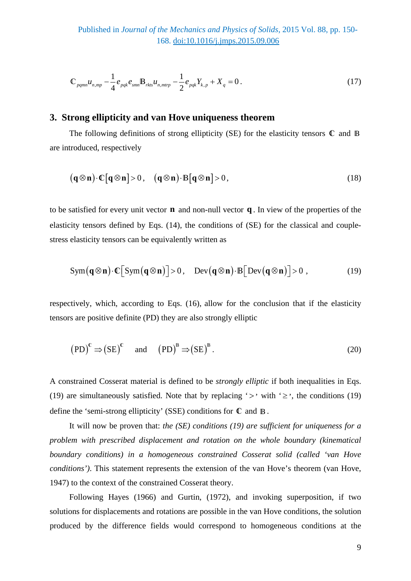$$
\mathbb{C}_{pqmn} u_{n,mp} - \frac{1}{4} e_{pqk} e_{smn} \mathbb{B}_{rkts} u_{n,mtrp} - \frac{1}{2} e_{pqk} Y_{k,p} + X_q = 0.
$$
 (17)

## **3. Strong ellipticity and van Hove uniqueness theorem**

The following definitions of strong ellipticity (SE) for the elasticity tensors **C** and B are introduced, respectively

$$
(\mathbf{q} \otimes \mathbf{n}) \cdot \mathbb{C}[\mathbf{q} \otimes \mathbf{n}] > 0, \quad (\mathbf{q} \otimes \mathbf{n}) \cdot \mathbb{B}[\mathbf{q} \otimes \mathbf{n}] > 0, \tag{18}
$$

to be satisfied for every unit vector **n** and non-null vector **q** . In view of the properties of the elasticity tensors defined by Eqs. (14), the conditions of (SE) for the classical and couplestress elasticity tensors can be equivalently written as

$$
Sym(q \otimes n) \cdot \mathbb{C}[Sym(q \otimes n)] > 0, \quad Dev(q \otimes n) \cdot B[Dev(q \otimes n)] > 0,
$$
 (19)

respectively, which, according to Eqs. (16), allow for the conclusion that if the elasticity tensors are positive definite (PD) they are also strongly elliptic

$$
(PD)^{c} \Rightarrow (SE)^{c} \quad \text{and} \quad (PD)^{B} \Rightarrow (SE)^{B}. \tag{20}
$$

A constrained Cosserat material is defined to be *strongly elliptic* if both inequalities in Eqs. (19) are simultaneously satisfied. Note that by replacing ' $>$ ' with ' $\geq$ ', the conditions (19) define the 'semi-strong ellipticity' (SSE) conditions for **C** and B.

It will now be proven that: *the (SE) conditions (19) are sufficient for uniqueness for a problem with prescribed displacement and rotation on the whole boundary (kinematical boundary conditions) in a homogeneous constrained Cosserat solid (called 'van Hove conditions')*. This statement represents the extension of the van Hove's theorem (van Hove, 1947) to the context of the constrained Cosserat theory.

Following Hayes (1966) and Gurtin, (1972), and invoking superposition, if two solutions for displacements and rotations are possible in the van Hove conditions, the solution produced by the difference fields would correspond to homogeneous conditions at the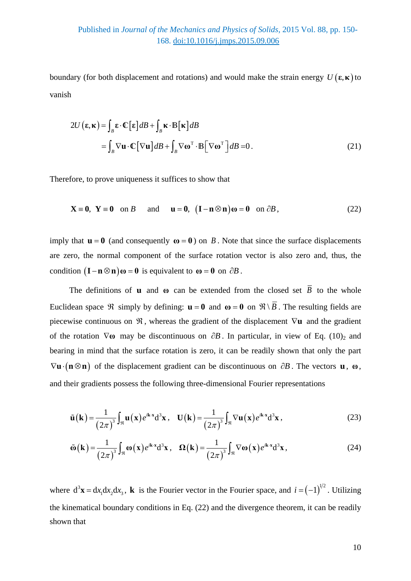## Published in *Journal of the Mechanics and Physics of Solids*, 2015 Vol. 88, pp. 150- 168. [doi:10.1016/j.jmps.2015.09.006](http://dx.doi.org/10.1016/j.jmps.2015.09.006)

boundary (for both displacement and rotations) and would make the strain energy  $U(\varepsilon, \kappa)$  to vanish

$$
2U(\mathbf{\varepsilon}, \mathbf{\kappa}) = \int_{B} \mathbf{\varepsilon} \cdot \mathbf{C} [\mathbf{\varepsilon}] dB + \int_{B} \mathbf{\kappa} \cdot \mathbf{B} [\mathbf{\kappa}] dB
$$
  
= 
$$
\int_{B} \nabla \mathbf{u} \cdot \mathbf{C} [\nabla \mathbf{u}] dB + \int_{B} \nabla \mathbf{\omega}^{T} \cdot \mathbf{B} [\nabla \mathbf{\omega}^{T}] dB = 0.
$$
 (21)

Therefore, to prove uniqueness it suffices to show that

$$
\mathbf{X} \equiv \mathbf{0}, \ \mathbf{Y} \equiv \mathbf{0} \quad \text{on } B \qquad \text{and} \qquad \mathbf{u} = \mathbf{0}, \ \ (\mathbf{I} - \mathbf{n} \otimes \mathbf{n})\boldsymbol{\omega} = \mathbf{0} \quad \text{on } \partial B \,, \tag{22}
$$

imply that  $\mathbf{u} = \mathbf{0}$  (and consequently  $\mathbf{\omega} = \mathbf{0}$ ) on *B*. Note that since the surface displacements are zero, the normal component of the surface rotation vector is also zero and, thus, the condition  $({\bf I}-{\bf n}\otimes{\bf n})\omega = 0$  is equivalent to  $\omega = 0$  on  $\partial B$ .

The definitions of **u** and  $\omega$  can be extended from the closed set  $\overline{B}$  to the whole Euclidean space  $\Re$  simply by defining:  $\mathbf{u} = \mathbf{0}$  and  $\mathbf{\omega} = \mathbf{0}$  on  $\Re \setminus \overline{B}$ . The resulting fields are piecewise continuous on ℜ , whereas the gradient of the displacement ∇**u** and the gradient of the rotation  $\nabla \omega$  may be discontinuous on  $\partial B$ . In particular, in view of Eq. (10)<sub>2</sub> and bearing in mind that the surface rotation is zero, it can be readily shown that only the part  $\nabla$ **u** $\cdot$  (**n** $\otimes$ **n**) of the displacement gradient can be discontinuous on  $\partial B$ . The vectors **u**, **ω**, and their gradients possess the following three-dimensional Fourier representations

$$
\tilde{\mathbf{u}}(\mathbf{k}) = \frac{1}{(2\pi)^3} \int_{\mathfrak{R}} \mathbf{u}(\mathbf{x}) e^{i\mathbf{k} \cdot \mathbf{x}} d^3 \mathbf{x}, \quad \mathbf{U}(\mathbf{k}) = \frac{1}{(2\pi)^3} \int_{\mathfrak{R}} \nabla \mathbf{u}(\mathbf{x}) e^{i\mathbf{k} \cdot \mathbf{x}} d^3 \mathbf{x}, \tag{23}
$$

$$
\tilde{\mathbf{\omega}}(\mathbf{k}) = \frac{1}{(2\pi)^3} \int_{\mathfrak{R}} \mathbf{\omega}(\mathbf{x}) e^{i\mathbf{k} \cdot \mathbf{x}} d^3 \mathbf{x}, \quad \Omega(\mathbf{k}) = \frac{1}{(2\pi)^3} \int_{\mathfrak{R}} \nabla \mathbf{\omega}(\mathbf{x}) e^{i\mathbf{k} \cdot \mathbf{x}} d^3 \mathbf{x}, \tag{24}
$$

where  $d^3\mathbf{x} = dx_1 dx_2 dx_3$ , **k** is the Fourier vector in the Fourier space, and  $i = (-1)^{1/2}$ . Utilizing the kinematical boundary conditions in Eq. (22) and the divergence theorem, it can be readily shown that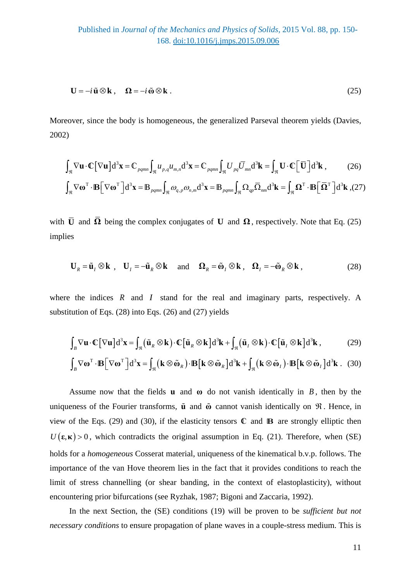Published in *Journal of the Mechanics and Physics of Solids*, 2015 Vol. 88, pp. 150- 168. [doi:10.1016/j.jmps.2015.09.006](http://dx.doi.org/10.1016/j.jmps.2015.09.006)

$$
\mathbf{U} = -i\tilde{\mathbf{u}} \otimes \mathbf{k} , \quad \Omega = -i\tilde{\mathbf{w}} \otimes \mathbf{k} . \tag{25}
$$

Moreover, since the body is homogeneous, the generalized Parseval theorem yields (Davies, 2002)

$$
\int_{\mathfrak{R}} \nabla \mathbf{u} \cdot \mathbb{C} [\nabla \mathbf{u}] d^3 \mathbf{x} = \mathbb{C}_{pqmn} \int_{\mathfrak{R}} u_{p,q} u_{m,n} d^3 \mathbf{x} = \mathbb{C}_{pqmn} \int_{\mathfrak{R}} U_{pq} \overline{U}_{mn} d^3 \mathbf{k} = \int_{\mathfrak{R}} \mathbf{U} \cdot \mathbb{C} [\overline{\mathbf{U}}] d^3 \mathbf{k},
$$
 (26)

$$
\int_{\mathfrak{R}} \nabla \omega^{\mathrm{T}} \cdot \mathbf{B} \Big[ \nabla \omega^{\mathrm{T}} \Big] d^3 \mathbf{x} = \mathbf{B}_{pqmn} \int_{\mathfrak{R}} \omega_{q,p} \omega_{n,m} d^3 \mathbf{x} = \mathbf{B}_{pqmn} \int_{\mathfrak{R}} \Omega_{qp} \overline{\Omega}_{nm} d^3 \mathbf{k} = \int_{\mathfrak{R}} \Omega^{\mathrm{T}} \cdot \mathbf{B} \Big[ \overline{\Omega}^{\mathrm{T}} \Big] d^3 \mathbf{k}
$$
 (27)

with  $\overline{U}$  and  $\overline{\Omega}$  being the complex conjugates of **U** and  $\Omega$ , respectively. Note that Eq. (25) implies

$$
\mathbf{U}_R = \tilde{\mathbf{u}}_I \otimes \mathbf{k} \ , \quad \mathbf{U}_I = -\tilde{\mathbf{u}}_R \otimes \mathbf{k} \quad \text{and} \quad \mathbf{\Omega}_R = \tilde{\mathbf{\omega}}_I \otimes \mathbf{k} \ , \quad \mathbf{\Omega}_I = -\tilde{\mathbf{\omega}}_R \otimes \mathbf{k} \ , \tag{28}
$$

where the indices *R* and *I* stand for the real and imaginary parts, respectively. A substitution of Eqs. (28) into Eqs. (26) and (27) yields

$$
\int_{B} \nabla \mathbf{u} \cdot \mathbb{C} [\nabla \mathbf{u}] d^{3} \mathbf{x} = \int_{\mathfrak{R}} (\tilde{\mathbf{u}}_{R} \otimes \mathbf{k}) \cdot \mathbb{C} [\tilde{\mathbf{u}}_{R} \otimes \mathbf{k}] d^{3} \mathbf{k} + \int_{\mathfrak{R}} (\tilde{\mathbf{u}}_{I} \otimes \mathbf{k}) \cdot \mathbb{C} [\tilde{\mathbf{u}}_{I} \otimes \mathbf{k}] d^{3} \mathbf{k},
$$
 (29)

$$
\int_{B} \nabla \mathbf{\omega}^{\mathrm{T}} \cdot \mathbf{B} \Big[ \nabla \mathbf{\omega}^{\mathrm{T}} \Big] d^3 \mathbf{x} = \int_{\mathfrak{R}} \big( \mathbf{k} \otimes \tilde{\mathbf{\omega}}_{R} \big) \cdot \mathbf{B} \Big[ \mathbf{k} \otimes \tilde{\mathbf{\omega}}_{R} \Big] d^3 \mathbf{k} + \int_{\mathfrak{R}} \big( \mathbf{k} \otimes \tilde{\mathbf{\omega}}_{I} \big) \cdot \mathbf{B} \Big[ \mathbf{k} \otimes \tilde{\mathbf{\omega}}_{I} \Big] d^3 \mathbf{k} \ . \tag{30}
$$

Assume now that the fields **u** and  $\omega$  do not vanish identically in *B*, then by the uniqueness of the Fourier transforms, **u** and **ω** cannot vanish identically on ℜ . Hence, in view of the Eqs. (29) and (30), if the elasticity tensors **C** and **B** are strongly elliptic then  $U(\varepsilon, \kappa) > 0$ , which contradicts the original assumption in Eq. (21). Therefore, when (SE) holds for a *homogeneous* Cosserat material, uniqueness of the kinematical b.v.p. follows. The importance of the van Hove theorem lies in the fact that it provides conditions to reach the limit of stress channelling (or shear banding, in the context of elastoplasticity), without encountering prior bifurcations (see Ryzhak, 1987; Bigoni and Zaccaria, 1992).

In the next Section, the (SE) conditions (19) will be proven to be *sufficient but not necessary conditions* to ensure propagation of plane waves in a couple-stress medium. This is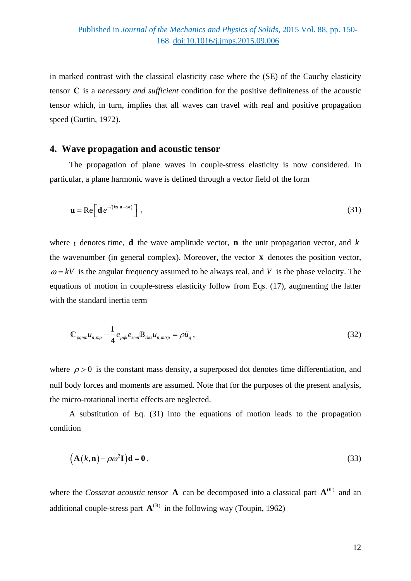in marked contrast with the classical elasticity case where the (SE) of the Cauchy elasticity tensor **C** is a *necessary and sufficient* condition for the positive definiteness of the acoustic tensor which, in turn, implies that all waves can travel with real and positive propagation speed (Gurtin, 1972).

## **4. Wave propagation and acoustic tensor**

The propagation of plane waves in couple-stress elasticity is now considered. In particular, a plane harmonic wave is defined through a vector field of the form

$$
\mathbf{u} = \text{Re}\bigg[\mathbf{d} \, e^{-i(k\mathbf{x}\cdot\mathbf{n}-\omega t)}\bigg] \tag{31}
$$

where *t* denotes time, **d** the wave amplitude vector, **n** the unit propagation vector, and  $k$ the wavenumber (in general complex). Moreover, the vector **x** denotes the position vector,  $\omega = kV$  is the angular frequency assumed to be always real, and *V* is the phase velocity. The equations of motion in couple-stress elasticity follow from Eqs. (17), augmenting the latter with the standard inertia term

$$
\mathbb{C}_{pqmn}u_{n,mp} - \frac{1}{4}e_{pqk}e_{smn} \mathbb{B}_{rkts}u_{n,mtrp} = \rho \ddot{u}_q, \qquad (32)
$$

where  $\rho > 0$  is the constant mass density, a superposed dot denotes time differentiation, and null body forces and moments are assumed. Note that for the purposes of the present analysis, the micro-rotational inertia effects are neglected.

A substitution of Eq. (31) into the equations of motion leads to the propagation condition

$$
(\mathbf{A}(k,\mathbf{n}) - \rho \omega^2 \mathbf{I}) \mathbf{d} = \mathbf{0},\tag{33}
$$

where the *Cosserat acoustic tensor* **A** can be decomposed into a classical part  $\mathbf{A}^{(\mathbb{C})}$  and an additional couple-stress part  $A^{(B)}$  in the following way (Toupin, 1962)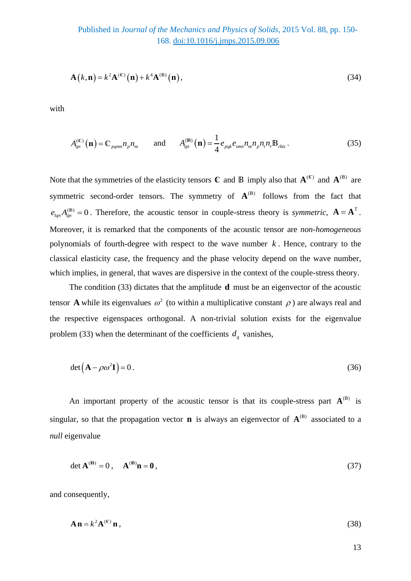$$
\mathbf{A}\left(k,\mathbf{n}\right) = k^2 \mathbf{A}^{(\mathbb{C})}\left(\mathbf{n}\right) + k^4 \mathbf{A}^{(\mathbb{B})}\left(\mathbf{n}\right),\tag{34}
$$

with

$$
A_{qn}^{(\mathbb{C})}(\mathbf{n}) = \mathbb{C}_{pqmn} n_p n_m \quad \text{and} \quad A_{qn}^{(\mathbb{B})}(\mathbf{n}) = \frac{1}{4} e_{pqk} e_{smn} n_m n_p n_r n_r \mathbb{B}_{rkts} \,. \tag{35}
$$

Note that the symmetries of the elasticity tensors  $\mathbb{C}$  and  $\mathbb{B}$  imply also that  $\mathbf{A}^{(\mathbb{C})}$  and  $\mathbf{A}^{(\mathbb{B})}$  are symmetric second-order tensors. The symmetry of  $A^{(B)}$  follows from the fact that  $e_{lm}A_{lm}^{(B)} = 0$ . Therefore, the acoustic tensor in couple-stress theory is *symmetric*,  $\mathbf{A} = \mathbf{A}^{\text{T}}$ . Moreover, it is remarked that the components of the acoustic tensor are *non-homogeneous* polynomials of fourth-degree with respect to the wave number *k* . Hence, contrary to the classical elasticity case, the frequency and the phase velocity depend on the wave number, which implies, in general, that waves are dispersive in the context of the couple-stress theory.

The condition (33) dictates that the amplitude **d** must be an eigenvector of the acoustic tensor **A** while its eigenvalues  $\omega^2$  (to within a multiplicative constant  $\rho$ ) are always real and the respective eigenspaces orthogonal. A non-trivial solution exists for the eigenvalue problem (33) when the determinant of the coefficients  $d_a$  vanishes,

$$
\det(\mathbf{A} - \rho \omega^2 \mathbf{I}) = 0. \tag{36}
$$

An important property of the acoustic tensor is that its couple-stress part  $A^{(B)}$  is singular, so that the propagation vector **n** is always an eigenvector of  $A^{(B)}$  associated to a *null* eigenvalue

$$
\det \mathbf{A}^{(\mathbf{B})} = 0, \quad \mathbf{A}^{(\mathbf{B})}\mathbf{n} = \mathbf{0},\tag{37}
$$

and consequently,

$$
\mathbf{A}\mathbf{n} = k^2 \mathbf{A}^{(\mathbb{C})}\mathbf{n}\,,\tag{38}
$$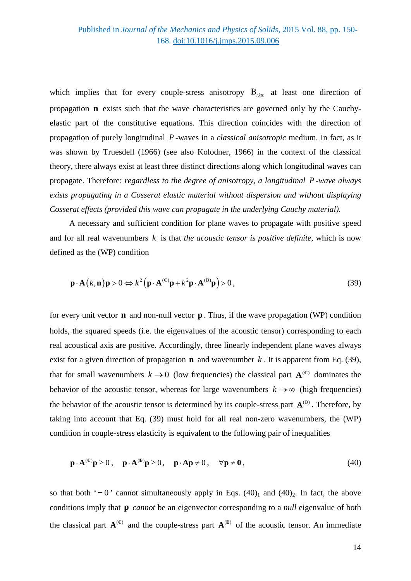which implies that for every couple-stress anisotropy  $\mathbb{B}_{rkS}$  at least one direction of propagation **n** exists such that the wave characteristics are governed only by the Cauchyelastic part of the constitutive equations. This direction coincides with the direction of propagation of purely longitudinal *P* -waves in a *classical anisotropic* medium. In fact, as it was shown by Truesdell (1966) (see also Kolodner, 1966) in the context of the classical theory, there always exist at least three distinct directions along which longitudinal waves can propagate. Therefore: *regardless to the degree of anisotropy, a longitudinal P -wave always exists propagating in a Cosserat elastic material without dispersion and without displaying Cosserat effects (provided this wave can propagate in the underlying Cauchy material).*

A necessary and sufficient condition for plane waves to propagate with positive speed and for all real wavenumbers *k* is that *the acoustic tensor is positive definite*, which is now defined as the (WP) condition

$$
\mathbf{p} \cdot \mathbf{A}\left(k,\mathbf{n}\right) \mathbf{p} > 0 \Leftrightarrow k^2 \left(\mathbf{p} \cdot \mathbf{A}^{(\mathbb{C})}\mathbf{p} + k^2 \mathbf{p} \cdot \mathbf{A}^{(\mathbb{B})}\mathbf{p}\right) > 0\,,\tag{39}
$$

for every unit vector **n** and non-null vector **p** . Thus, if the wave propagation (WP) condition holds, the squared speeds (i.e. the eigenvalues of the acoustic tensor) corresponding to each real acoustical axis are positive. Accordingly, three linearly independent plane waves always exist for a given direction of propagation **n** and wavenumber  $k$ . It is apparent from Eq. (39), that for small wavenumbers  $k \to 0$  (low frequencies) the classical part  $A^{(c)}$  dominates the behavior of the acoustic tensor, whereas for large wavenumbers  $k \to \infty$  (high frequencies) the behavior of the acoustic tensor is determined by its couple-stress part  ${\bf A}^{\rm (B)}$ . Therefore, by taking into account that Eq. (39) must hold for all real non-zero wavenumbers, the (WP) condition in couple-stress elasticity is equivalent to the following pair of inequalities

$$
\mathbf{p} \cdot \mathbf{A}^{(\mathbb{C})} \mathbf{p} \ge 0 \,, \quad \mathbf{p} \cdot \mathbf{A}^{(\mathbb{B})} \mathbf{p} \ge 0 \,, \quad \mathbf{p} \cdot \mathbf{A} \mathbf{p} \ne 0 \,, \qquad \forall \mathbf{p} \ne \mathbf{0} \,, \tag{40}
$$

so that both '=0' cannot simultaneously apply in Eqs.  $(40)_1$  and  $(40)_2$ . In fact, the above conditions imply that **p** *cannot* be an eigenvector corresponding to a *null* eigenvalue of both the classical part  $A^{(c)}$  and the couple-stress part  $A^{(B)}$  of the acoustic tensor. An immediate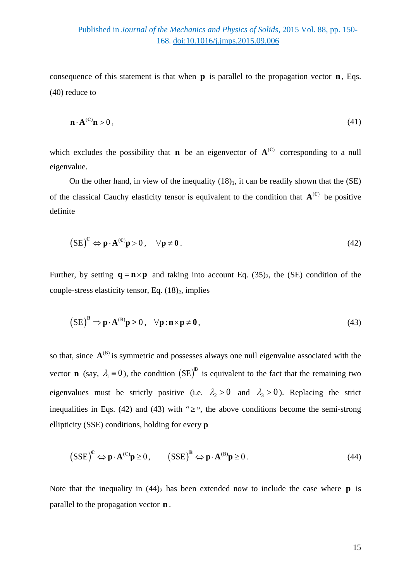# Published in *Journal of the Mechanics and Physics of Solids*, 2015 Vol. 88, pp. 150- 168. [doi:10.1016/j.jmps.2015.09.006](http://dx.doi.org/10.1016/j.jmps.2015.09.006)

consequence of this statement is that when  $\bf{p}$  is parallel to the propagation vector  $\bf{n}$ , Eqs. (40) reduce to

$$
\mathbf{n} \cdot \mathbf{A}^{(\mathbb{C})} \mathbf{n} > 0 \,,\tag{41}
$$

which excludes the possibility that **n** be an eigenvector of  $A^{(0)}$  corresponding to a null eigenvalue.

On the other hand, in view of the inequality  $(18)$ <sub>1</sub>, it can be readily shown that the (SE) of the classical Cauchy elasticity tensor is equivalent to the condition that  $A^{(c)}$  be positive definite

$$
\left( \text{SE} \right)^{\mathbb{C}} \Leftrightarrow \mathbf{p} \cdot \mathbf{A}^{(\mathbb{C})} \mathbf{p} > 0 \,, \quad \forall \mathbf{p} \neq \mathbf{0} \,. \tag{42}
$$

Further, by setting  $\mathbf{q} = \mathbf{n} \times \mathbf{p}$  and taking into account Eq. (35)<sub>2</sub>, the (SE) condition of the couple-stress elasticity tensor, Eq.  $(18)_2$ , implies

$$
\left(SE\right)^{\mathbf{B}} \Rightarrow \mathbf{p} \cdot \mathbf{A}^{(\mathbf{B})}\mathbf{p} > 0 \,, \quad \forall \mathbf{p} : \mathbf{n} \times \mathbf{p} \neq \mathbf{0} \,, \tag{43}
$$

so that, since  $A^{(B)}$  is symmetric and possesses always one null eigenvalue associated with the vector **n** (say,  $\lambda_1 = 0$ ), the condition  $(SE)^B$  is equivalent to the fact that the remaining two eigenvalues must be strictly positive (i.e.  $\lambda_2 > 0$  and  $\lambda_3 > 0$ ). Replacing the strict inequalities in Eqs. (42) and (43) with " $\geq$ ", the above conditions become the semi-strong ellipticity (SSE) conditions, holding for every **p**

$$
(SSE)^{c} \Leftrightarrow \mathbf{p} \cdot \mathbf{A}^{(c)} \mathbf{p} \ge 0, \qquad (SSE)^{B} \Leftrightarrow \mathbf{p} \cdot \mathbf{A}^{(B)} \mathbf{p} \ge 0.
$$
 (44)

Note that the inequality in  $(44)_2$  has been extended now to include the case where **p** is parallel to the propagation vector **n** .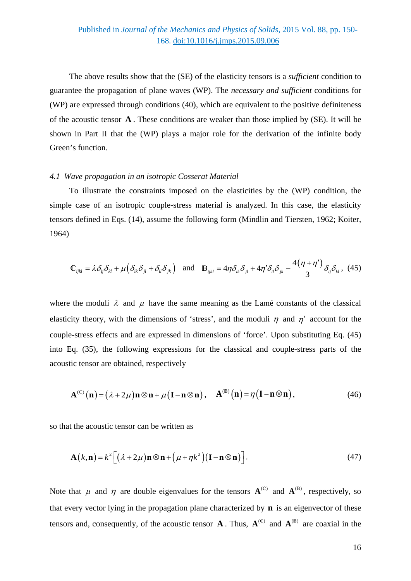The above results show that the (SE) of the elasticity tensors is a *sufficient* condition to guarantee the propagation of plane waves (WP). The *necessary and sufficient* conditions for (WP) are expressed through conditions (40), which are equivalent to the positive definiteness of the acoustic tensor **A** . These conditions are weaker than those implied by (SE). It will be shown in Part II that the (WP) plays a major role for the derivation of the infinite body Green's function.

#### *4.1 Wave propagation in an isotropic Cosserat Material*

To illustrate the constraints imposed on the elasticities by the (WP) condition, the simple case of an isotropic couple-stress material is analyzed. In this case, the elasticity tensors defined in Eqs. (14), assume the following form (Mindlin and Tiersten, 1962; Koiter, 1964)

$$
\mathbb{C}_{ijkl} = \lambda \delta_{ij} \delta_{kl} + \mu \Big( \delta_{ik} \delta_{jl} + \delta_{il} \delta_{jk} \Big) \quad \text{and} \quad \mathbb{B}_{ijkl} = 4\eta \delta_{ik} \delta_{jl} + 4\eta' \delta_{il} \delta_{jk} - \frac{4(\eta + \eta')}{3} \delta_{ij} \delta_{kl} \,, \tag{45}
$$

where the moduli  $\lambda$  and  $\mu$  have the same meaning as the Lamé constants of the classical elasticity theory, with the dimensions of 'stress', and the moduli  $\eta$  and  $\eta'$  account for the couple-stress effects and are expressed in dimensions of 'force'. Upon substituting Eq. (45) into Eq. (35), the following expressions for the classical and couple-stress parts of the acoustic tensor are obtained, respectively

$$
\mathbf{A}^{(C)}(\mathbf{n}) = (\lambda + 2\mu)\mathbf{n} \otimes \mathbf{n} + \mu(\mathbf{I} - \mathbf{n} \otimes \mathbf{n}), \quad \mathbf{A}^{(B)}(\mathbf{n}) = \eta(\mathbf{I} - \mathbf{n} \otimes \mathbf{n}), \tag{46}
$$

so that the acoustic tensor can be written as

$$
\mathbf{A}(k,\mathbf{n}) = k^2 \Big[ \big( \lambda + 2\mu \big) \mathbf{n} \otimes \mathbf{n} + \big( \mu + \eta k^2 \big) \big( \mathbf{I} - \mathbf{n} \otimes \mathbf{n} \big) \Big]. \tag{47}
$$

Note that  $\mu$  and  $\eta$  are double eigenvalues for the tensors  $A^{(c)}$  and  $A^{(B)}$ , respectively, so that every vector lying in the propagation plane characterized by **n** is an eigenvector of these tensors and, consequently, of the acoustic tensor  $\mathbf{A}$ . Thus,  $\mathbf{A}^{(\mathbb{C})}$  and  $\mathbf{A}^{(\mathbb{B})}$  are coaxial in the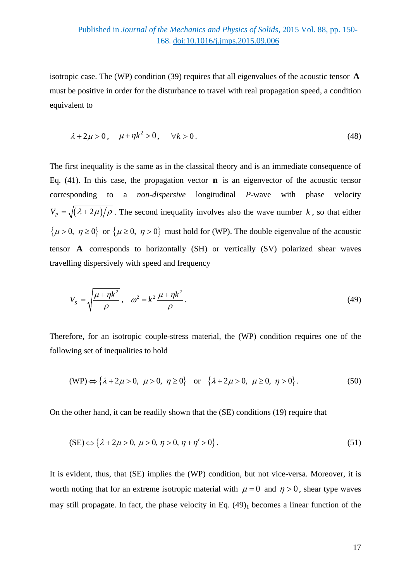isotropic case. The (WP) condition (39) requires that all eigenvalues of the acoustic tensor **A** must be positive in order for the disturbance to travel with real propagation speed, a condition equivalent to

$$
\lambda + 2\mu > 0, \quad \mu + \eta k^2 > 0, \quad \forall k > 0.
$$
 (48)

The first inequality is the same as in the classical theory and is an immediate consequence of Eq. (41). In this case, the propagation vector **n** is an eigenvector of the acoustic tensor corresponding to a *non-dispersive* longitudinal *P*-wave with phase velocity  $V_p = \sqrt{(\lambda + 2\mu)/\rho}$ . The second inequality involves also the wave number *k*, so that either  $\{\mu > 0, \eta \ge 0\}$  or  $\{\mu \ge 0, \eta > 0\}$  must hold for (WP). The double eigenvalue of the acoustic tensor **A** corresponds to horizontally (SH) or vertically (SV) polarized shear waves travelling dispersively with speed and frequency

$$
V_{s} = \sqrt{\frac{\mu + \eta k^{2}}{\rho}}, \quad \omega^{2} = k^{2} \frac{\mu + \eta k^{2}}{\rho}.
$$
 (49)

Therefore, for an isotropic couple-stress material, the (WP) condition requires one of the following set of inequalities to hold

$$
(WP) \Leftrightarrow \{\lambda + 2\mu > 0, \ \mu > 0, \ \eta \ge 0\} \quad \text{or} \quad \{\lambda + 2\mu > 0, \ \mu \ge 0, \ \eta > 0\} \,. \tag{50}
$$

On the other hand, it can be readily shown that the (SE) conditions (19) require that

$$
(SE) \Leftrightarrow \{\lambda + 2\mu > 0, \ \mu > 0, \ \eta > 0, \ \eta + \eta' > 0\} \,. \tag{51}
$$

It is evident, thus, that (SE) implies the (WP) condition, but not vice-versa. Moreover, it is worth noting that for an extreme isotropic material with  $\mu = 0$  and  $\eta > 0$ , shear type waves may still propagate. In fact, the phase velocity in Eq.  $(49)$ <sub>1</sub> becomes a linear function of the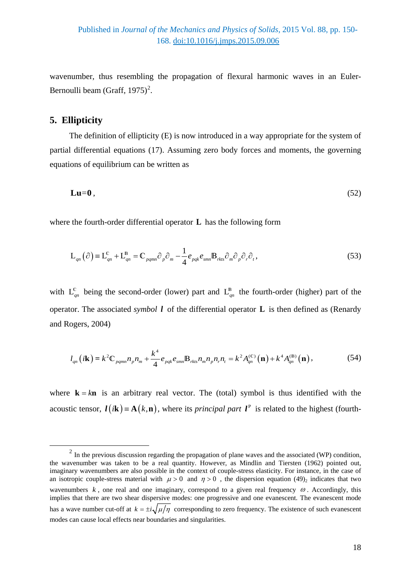wavenumber, thus resembling the propagation of flexural harmonic waves in an Euler-Bernoulli beam (Graff, 1975)<sup>[2](#page-17-0)</sup>.

# **5. Ellipticity**

<u>.</u>

The definition of ellipticity (E) is now introduced in a way appropriate for the system of partial differential equations (17). Assuming zero body forces and moments, the governing equations of equilibrium can be written as

$$
\mathbf{Lu} = \mathbf{0},\tag{52}
$$

where the fourth-order differential operator **L** has the following form

$$
L_{qn}(\partial) = L_{qn}^{c} + L_{qn}^{B} = C_{pqmn}\partial_{p}\partial_{m} - \frac{1}{4}e_{pqk}e_{smn}B_{rkls}\partial_{m}\partial_{p}\partial_{r}\partial_{r},
$$
\n(53)

with  $L_{qn}^c$  being the second-order (lower) part and  $L_{qn}^B$  the fourth-order (higher) part of the operator. The associated *symbol l* of the differential operator **L** is then defined as (Renardy and Rogers, 2004)

$$
l_{qn}(i\mathbf{k}) = k^2 \mathbb{C}_{pqmn} n_p n_m + \frac{k^4}{4} e_{pqk} e_{smn} \mathbb{B}_{rkns} n_m n_p n_r n_t = k^2 A_{qn}^{(c)}(\mathbf{n}) + k^4 A_{qn}^{(B)}(\mathbf{n}),
$$
 (54)

where  $\mathbf{k} = k\mathbf{n}$  is an arbitrary real vector. The (total) symbol is thus identified with the acoustic tensor,  $l(i\mathbf{k}) = \mathbf{A}(k,\mathbf{n})$ , where its *principal part*  $l^{\text{P}}$  is related to the highest (fourth-

<span id="page-17-0"></span> $2 \text{ In the previous discussion regarding the propagation of plane waves and the associated (WP) condition, }$ the wavenumber was taken to be a real quantity. However, as Mindlin and Tiersten (1962) pointed out, imaginary wavenumbers are also possible in the context of couple-stress elasticity. For instance, in the case of an isotropic couple-stress material with  $\mu > 0$  and  $\eta > 0$ , the dispersion equation (49)<sub>2</sub> indicates that two wavenumbers  $k$ , one real and one imaginary, correspond to a given real frequency  $\omega$ . Accordingly, this implies that there are two shear dispersive modes: one progressive and one evanescent. The evanescent mode has a wave number cut-off at  $k = \pm i \sqrt{\mu/\eta}$  corresponding to zero frequency. The existence of such evanescent modes can cause local effects near boundaries and singularities.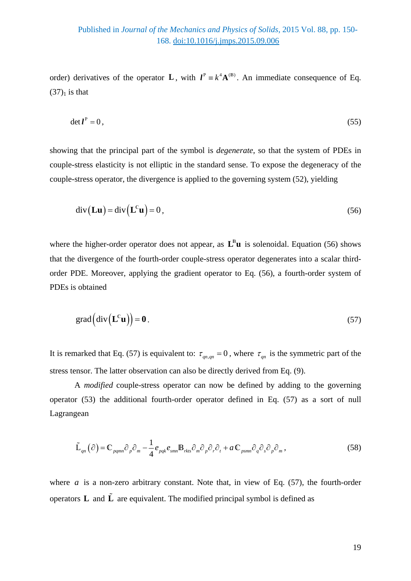order) derivatives of the operator **L**, with  $I^P = k^4 \mathbf{A}^{(B)}$ . An immediate consequence of Eq.  $(37)<sub>1</sub>$  is that

$$
\det l^P = 0, \tag{55}
$$

showing that the principal part of the symbol is *degenerate*, so that the system of PDEs in couple-stress elasticity is not elliptic in the standard sense. To expose the degeneracy of the couple-stress operator, the divergence is applied to the governing system (52), yielding

$$
\operatorname{div}(\mathbf{L}\mathbf{u}) = \operatorname{div}(\mathbf{L}^c\mathbf{u}) = 0,\tag{56}
$$

where the higher-order operator does not appear, as  $L^B u$  is solenoidal. Equation (56) shows that the divergence of the fourth-order couple-stress operator degenerates into a scalar thirdorder PDE. Moreover, applying the gradient operator to Eq. (56), a fourth-order system of PDEs is obtained

$$
\text{grad}\left(\text{div}\left(\mathbf{L}^{\mathbb{C}}\mathbf{u}\right)\right)=\mathbf{0} \tag{57}
$$

It is remarked that Eq. (57) is equivalent to:  $\tau_{qn,qn} = 0$ , where  $\tau_{qn}$  is the symmetric part of the stress tensor. The latter observation can also be directly derived from Eq. (9).

A *modified* couple-stress operator can now be defined by adding to the governing operator (53) the additional fourth-order operator defined in Eq. (57) as a sort of null Lagrangean

$$
\tilde{\mathbf{L}}_{qn}(\partial) = \mathbf{C}_{pqmn}\partial_p\partial_m - \frac{1}{4}e_{pqk}e_{smn}\mathbf{B}_{rkls}\partial_m\partial_p\partial_r\partial_t + a\mathbf{C}_{psmn}\partial_q\partial_s\partial_p\partial_m,
$$
\n(58)

where  $a$  is a non-zero arbitrary constant. Note that, in view of Eq.  $(57)$ , the fourth-order operators  $\bf{L}$  and  $\bf{\tilde{L}}$  are equivalent. The modified principal symbol is defined as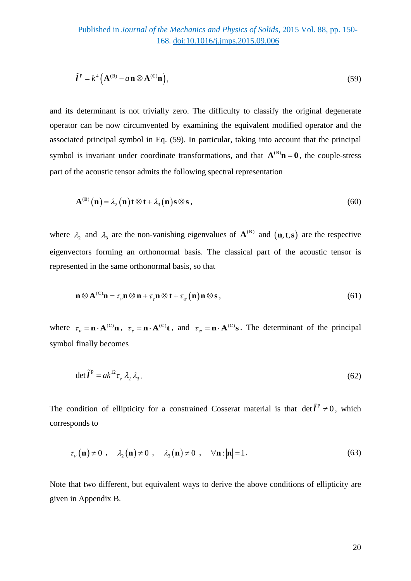$$
\tilde{\mathbf{l}}^{\mathrm{P}} = k^4 \left( \mathbf{A}^{(\mathrm{B})} - a \mathbf{n} \otimes \mathbf{A}^{(\mathrm{C})} \mathbf{n} \right),\tag{59}
$$

and its determinant is not trivially zero. The difficulty to classify the original degenerate operator can be now circumvented by examining the equivalent modified operator and the associated principal symbol in Eq. (59). In particular, taking into account that the principal symbol is invariant under coordinate transformations, and that  $A^{(B)}\mathbf{n} = \mathbf{0}$ , the couple-stress part of the acoustic tensor admits the following spectral representation

$$
\mathbf{A}^{(\mathsf{B})}\left(\mathbf{n}\right) = \lambda_2\left(\mathbf{n}\right)\mathbf{t}\otimes\mathbf{t} + \lambda_3\left(\mathbf{n}\right)\mathbf{s}\otimes\mathbf{s}\,,\tag{60}
$$

where  $\lambda_2$  and  $\lambda_3$  are the non-vanishing eigenvalues of  ${\bf A}^{(B)}$  and  $({\bf n},{\bf t},{\bf s})$  are the respective eigenvectors forming an orthonormal basis. The classical part of the acoustic tensor is represented in the same orthonormal basis, so that

$$
\mathbf{n} \otimes \mathbf{A}^{(\mathbb{C})}\mathbf{n} = \tau_{\nu}\mathbf{n} \otimes \mathbf{n} + \tau_{\tau}\mathbf{n} \otimes \mathbf{t} + \tau_{\sigma}(\mathbf{n})\mathbf{n} \otimes \mathbf{s},\tag{61}
$$

where  $\tau_r = \mathbf{n} \cdot \mathbf{A}^{(\mathbb{C})}\mathbf{n}$ ,  $\tau_r = \mathbf{n} \cdot \mathbf{A}^{(\mathbb{C})}\mathbf{t}$ , and  $\tau_\sigma = \mathbf{n} \cdot \mathbf{A}^{(\mathbb{C})}\mathbf{s}$ . The determinant of the principal symbol finally becomes

$$
\det \tilde{\mathbf{l}}^{\mathbf{P}} = ak^{12} \tau_{\nu} \lambda_2 \lambda_3. \tag{62}
$$

The condition of ellipticity for a constrained Cosserat material is that  $\det \tilde{l}^P \neq 0$ , which corresponds to

$$
\tau_{\nu}(\mathbf{n}) \neq 0 \ , \quad \lambda_2(\mathbf{n}) \neq 0 \ , \quad \lambda_3(\mathbf{n}) \neq 0 \ , \quad \forall \mathbf{n} : |\mathbf{n}| = 1 \,. \tag{63}
$$

Note that two different, but equivalent ways to derive the above conditions of ellipticity are given in Appendix B.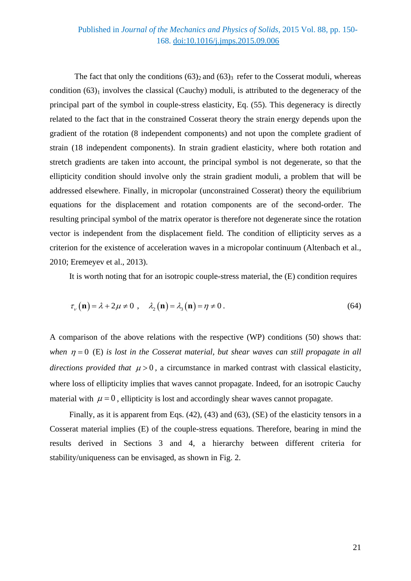## Published in *Journal of the Mechanics and Physics of Solids*, 2015 Vol. 88, pp. 150- 168. [doi:10.1016/j.jmps.2015.09.006](http://dx.doi.org/10.1016/j.jmps.2015.09.006)

The fact that only the conditions  $(63)_2$  and  $(63)_3$  refer to the Cosserat moduli, whereas condition  $(63)_1$  involves the classical (Cauchy) moduli, is attributed to the degeneracy of the principal part of the symbol in couple-stress elasticity, Eq. (55). This degeneracy is directly related to the fact that in the constrained Cosserat theory the strain energy depends upon the gradient of the rotation (8 independent components) and not upon the complete gradient of strain (18 independent components). In strain gradient elasticity, where both rotation and stretch gradients are taken into account, the principal symbol is not degenerate, so that the ellipticity condition should involve only the strain gradient moduli, a problem that will be addressed elsewhere. Finally, in micropolar (unconstrained Cosserat) theory the equilibrium equations for the displacement and rotation components are of the second-order. The resulting principal symbol of the matrix operator is therefore not degenerate since the rotation vector is independent from the displacement field. The condition of ellipticity serves as a criterion for the existence of acceleration waves in a micropolar continuum (Altenbach et al., 2010; Eremeyev et al., 2013).

It is worth noting that for an isotropic couple-stress material, the (E) condition requires

$$
\tau_{\nu}(\mathbf{n}) = \lambda + 2\mu \neq 0 \, , \quad \lambda_2(\mathbf{n}) = \lambda_3(\mathbf{n}) = \eta \neq 0 \, . \tag{64}
$$

A comparison of the above relations with the respective (WP) conditions (50) shows that: *when*  $n = 0$  (E) *is lost in the Cosserat material, but shear waves can still propagate in all directions provided that*  $\mu > 0$ , a circumstance in marked contrast with classical elasticity, where loss of ellipticity implies that waves cannot propagate. Indeed, for an isotropic Cauchy material with  $\mu = 0$ , ellipticity is lost and accordingly shear waves cannot propagate.

Finally, as it is apparent from Eqs. (42), (43) and (63), (SE) of the elasticity tensors in a Cosserat material implies (E) of the couple-stress equations. Therefore, bearing in mind the results derived in Sections 3 and 4, a hierarchy between different criteria for stability/uniqueness can be envisaged, as shown in Fig. 2.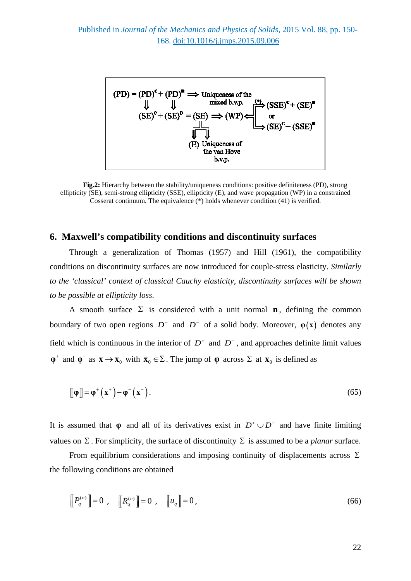

**Fig.2:** Hierarchy between the stability/uniqueness conditions: positive definiteness (PD), strong ellipticity (SE), semi-strong ellipticity (SSE), ellipticity (E), and wave propagation (WP) in a constrained Cosserat continuum. The equivalence  $(*)$  holds whenever condition (41) is verified.

### **6. Maxwell's compatibility conditions and discontinuity surfaces**

Through a generalization of Thomas (1957) and Hill (1961), the compatibility conditions on discontinuity surfaces are now introduced for couple-stress elasticity. *Similarly to the 'classical' context of classical Cauchy elasticity, discontinuity surfaces will be shown to be possible at ellipticity loss*.

A smooth surface  $\Sigma$  is considered with a unit normal **n**, defining the common boundary of two open regions  $D^+$  and  $D^-$  of a solid body. Moreover,  $\varphi(x)$  denotes any field which is continuous in the interior of  $D^+$  and  $D^-$ , and approaches definite limit values  $\varphi^+$  and  $\varphi^-$  as  $\mathbf{x} \to \mathbf{x}_0$  with  $\mathbf{x}_0 \in \Sigma$ . The jump of  $\varphi$  across  $\Sigma$  at  $\mathbf{x}_0$  is defined as

$$
\llbracket \phi \rrbracket = \phi^+ \left( \mathbf{x}^+ \right) - \phi^- \left( \mathbf{x}^- \right). \tag{65}
$$

It is assumed that  $\varphi$  and all of its derivatives exist in  $D^+ \cup D^-$  and have finite limiting values on  $\Sigma$ . For simplicity, the surface of discontinuity  $\Sigma$  is assumed to be a *planar* surface.

From equilibrium considerations and imposing continuity of displacements across  $\Sigma$ the following conditions are obtained

$$
\left[\!\left[P_q^{(n)}\right]\!\right]=0\ ,\quad\left[\!\left[R_q^{(n)}\right]\!\right]=0\ ,\quad\left[\!\left[u_q\right]\!\right]=0\,,\tag{66}
$$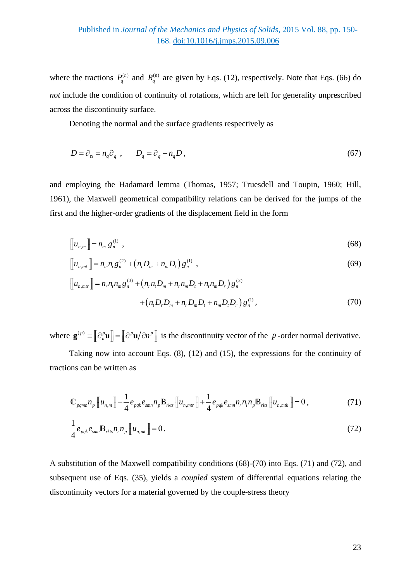where the tractions  $P_q^{(n)}$  and  $R_q^{(n)}$  are given by Eqs. (12), respectively. Note that Eqs. (66) do *not* include the condition of continuity of rotations, which are left for generality unprescribed across the discontinuity surface.

Denoting the normal and the surface gradients respectively as

$$
D = \partial_{\mathbf{n}} = n_q \partial_q , \qquad D_q = \partial_q - n_q D , \qquad (67)
$$

and employing the Hadamard lemma (Thomas, 1957; Truesdell and Toupin, 1960; Hill, 1961), the Maxwell geometrical compatibility relations can be derived for the jumps of the first and the higher-order gradients of the displacement field in the form

$$
\left[\!\left[u_{n,m}\right]\!\right]=n_m\,g_n^{(1)}\,,\tag{68}
$$

$$
\llbracket u_{n,mt} \rrbracket = n_m n_t g_n^{(2)} + (n_t D_m + n_m D_t) g_n^{(1)} \t\t(69)
$$

$$
\llbracket u_{n,mtr} \rrbracket = n_r n_t n_m g_n^{(3)} + (n_r n_t D_m + n_r n_m D_t + n_t n_m D_r) g_n^{(2)} + (n_t D_r D_m + n_r D_m D_t + n_m D_t D_r) g_n^{(1)},
$$
\n(70)

where  $\mathbf{g}^{(p)} = [\![\hat{\partial}_n^p \mathbf{u}]\!] = [\![\hat{\partial}^p \mathbf{u}/\hat{\partial} n^p]\!]$  is the discontinuity vector of the *p*-order normal derivative.

Taking now into account Eqs. (8), (12) and (15), the expressions for the continuity of tractions can be written as

$$
\mathbb{C}_{pqmn} n_p \left[ u_{n,m} \right] - \frac{1}{4} e_{pqk} e_{smn} n_p \mathbb{B}_{rkls} \left[ u_{n,mlr} \right] + \frac{1}{4} e_{pqk} e_{smn} n_r n_l n_p \mathbb{B}_{rlls} \left[ u_{n,mlk} \right] = 0, \tag{71}
$$

$$
\frac{1}{4}e_{pqk}e_{smn}\mathbb{B}_{rkts}n_r n_p[[u_{n,mt}]] = 0.
$$
\n(72)

A substitution of the Maxwell compatibility conditions (68)-(70) into Eqs. (71) and (72), and subsequent use of Eqs. (35), yields a *coupled* system of differential equations relating the discontinuity vectors for a material governed by the couple-stress theory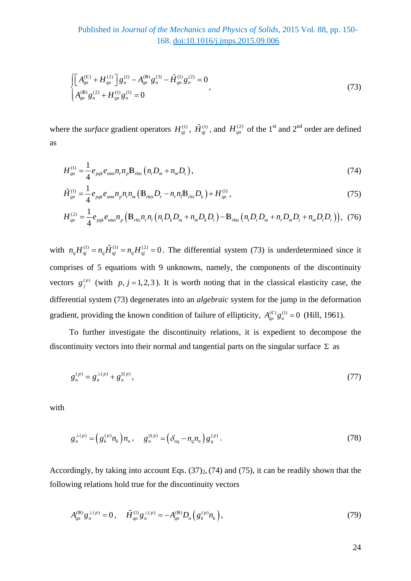$$
\begin{cases}\n\left[A_{qn}^{(C)} + H_{qn}^{(2)}\right]g_n^{(1)} - A_{qn}^{(B)}g_n^{(3)} - \tilde{H}_{qn}^{(1)}g_n^{(2)} = 0 \\
A_{qn}^{(B)}g_n^{(2)} + H_{qn}^{(1)}g_n^{(1)} = 0\n\end{cases}
$$
\n(73)

where the *surface* gradient operators  $H_{qi}^{(1)}$ ,  $\tilde{H}_{qi}^{(1)}$ , and  $H_{qn}^{(2)}$  of the 1<sup>st</sup> and 2<sup>nd</sup> order are defined as

$$
H_{qn}^{(1)} = \frac{1}{4} e_{pqk} e_{smn} n_r n_p B_{rkls} (n_t D_m + n_m D_t),
$$
\n(74)

$$
\tilde{H}_{qn}^{(1)} = \frac{1}{4} e_{pqk} e_{smn} n_p n_i n_m \left( \mathbf{B}_{rkls} D_r - n_r n_l \mathbf{B}_{rls} D_k \right) + H_{qn}^{(1)},\tag{75}
$$

$$
H_{qn}^{(2)} = \frac{1}{4} e_{pqk} e_{smn} n_p \left( \mathbb{B}_{rlts} n_r n_l \left( n_r D_k D_m + n_m D_k D_r \right) - \mathbb{B}_{rkts} \left( n_r D_r D_m + n_r D_m D_r + n_m D_r D_r \right) \right), (76)
$$

with  $n_q H_{qi}^{(1)} = n_q \tilde{H}_{qi}^{(1)} = n_q H_{qi}^{(2)} = 0$ . The differential system (73) is underdetermined since it comprises of 5 equations with 9 unknowns, namely, the components of the discontinuity vectors  $g_j^{(p)}$  (with  $p, j = 1, 2, 3$ ). It is worth noting that in the classical elasticity case, the differential system (73) degenerates into an *algebraic* system for the jump in the deformation gradient, providing the known condition of failure of ellipticity,  $A_{an}^{(c)} g_n^{(1)} = 0$  (Hill, 1961).

To further investigate the discontinuity relations, it is expedient to decompose the discontinuity vectors into their normal and tangential parts on the singular surface  $\Sigma$  as

$$
g_n^{(p)} = g_n^{\perp(p)} + g_n^{\parallel (p)},\tag{77}
$$

with

$$
g_n^{\perp(p)} = \left( g_k^{(p)} n_k \right) n_n, \quad g_n^{\parallel (p)} = \left( \delta_{nq} - n_q n_n \right) g_q^{(p)}.
$$
 (78)

Accordingly, by taking into account Eqs.  $(37)_2$ ,  $(74)$  and  $(75)$ , it can be readily shown that the following relations hold true for the discontinuity vectors

$$
A_{qn}^{(\mathbb{B})}g_n^{\perp(p)} = 0, \quad \tilde{H}_{qn}^{(1)}g_n^{\perp(p)} = -A_{qn}^{(\mathbb{B})}D_n(g_k^{(p)}n_k), \tag{79}
$$

24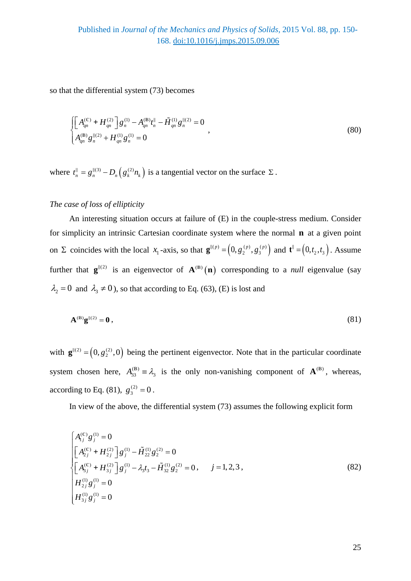so that the differential system (73) becomes

$$
\begin{cases}\n\left[A_{qn}^{(C)} + H_{qn}^{(2)}\right]g_n^{(1)} - A_{qn}^{(B)}t_n^{\parallel} - \tilde{H}_{qn}^{(1)}g_n^{||(2)} = 0 \\
A_{qn}^{(B)}g_n^{||(2)} + H_{qn}^{(1)}g_n^{(1)} = 0\n\end{cases}
$$
\n(80)

where  $t_n^{\parallel} = g_n^{\parallel (3)} - D_n(g_k^{(2)} n_k)$  is a tangential vector on the surface  $\Sigma$ .

## *The case of loss of ellipticity*

An interesting situation occurs at failure of (E) in the couple-stress medium. Consider for simplicity an intrinsic Cartesian coordinate system where the normal **n** at a given point on  $\Sigma$  coincides with the local  $x_1$ -axis, so that  $\mathbf{g}^{\parallel (p)} = (0, g_2^{(p)}, g_3^{(p)})$  and  $\mathbf{t}^{\parallel} = (0, t_2, t_3)$ . Assume further that  $\mathbf{g}^{||(2)}$  is an eigenvector of  $\mathbf{A}^{(B)}(\mathbf{n})$  corresponding to a *null* eigenvalue (say  $\lambda_2 = 0$  and  $\lambda_3 \neq 0$ ), so that according to Eq. (63), (E) is lost and

$$
\mathbf{A}^{(\mathrm{B})}\mathbf{g}^{||(2)} = \mathbf{0},\tag{81}
$$

with  $\mathbf{g}^{||(2)} = (0, g_2^{(2)}, 0)$  being the pertinent eigenvector. Note that in the particular coordinate system chosen here,  $A_{33}^{(B)} \equiv \lambda_3$  is the only non-vanishing component of  $\mathbf{A}^{(B)}$ , whereas, according to Eq. (81),  $g_3^{(2)} = 0$ .

In view of the above, the differential system (73) assumes the following explicit form

$$
\begin{cases}\nA_{1j}^{(c)}g_j^{(1)} = 0 \\
\left[A_{2j}^{(c)} + H_{2j}^{(2)}\right]g_j^{(1)} - \tilde{H}_{22}^{(1)}g_j^{(2)} = 0 \\
\left[A_{3j}^{(c)} + H_{3j}^{(2)}\right]g_j^{(1)} - \lambda_3 t_3 - \tilde{H}_{32}^{(1)}g_j^{(2)} = 0, \quad j = 1, 2, 3, \\
H_{2j}^{(1)}g_j^{(1)} = 0 \\
H_{3j}^{(1)}g_j^{(1)} = 0\n\end{cases}
$$
\n(82)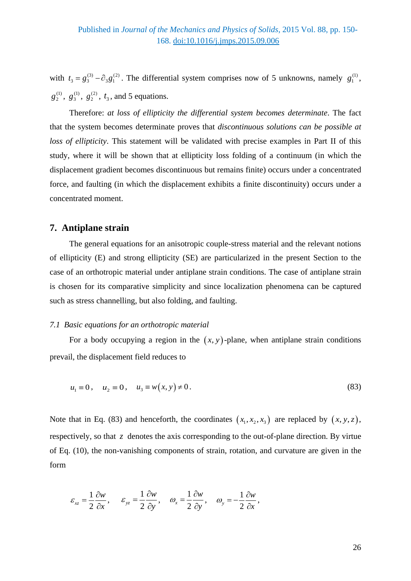with  $t_3 = g_3^{(3)} - \partial_3 g_1^{(2)}$ . The differential system comprises now of 5 unknowns, namely  $g_1^{(1)}$ ,  $g_2^{(1)}, g_3^{(1)}, g_2^{(2)}, t_3$ , and 5 equations.

Therefore: *at loss of ellipticity the differential system becomes determinate*. The fact that the system becomes determinate proves that *discontinuous solutions can be possible at loss of ellipticity*. This statement will be validated with precise examples in Part II of this study, where it will be shown that at ellipticity loss folding of a continuum (in which the displacement gradient becomes discontinuous but remains finite) occurs under a concentrated force, and faulting (in which the displacement exhibits a finite discontinuity) occurs under a concentrated moment.

# **7. Antiplane strain**

The general equations for an anisotropic couple-stress material and the relevant notions of ellipticity (E) and strong ellipticity (SE) are particularized in the present Section to the case of an orthotropic material under antiplane strain conditions. The case of antiplane strain is chosen for its comparative simplicity and since localization phenomena can be captured such as stress channelling, but also folding, and faulting.

## *7.1 Basic equations for an orthotropic material*

For a body occupying a region in the  $(x, y)$ -plane, when antiplane strain conditions prevail, the displacement field reduces to

$$
u_1 = 0
$$
,  $u_2 = 0$ ,  $u_3 = w(x, y) \neq 0$ . (83)

Note that in Eq. (83) and henceforth, the coordinates  $(x_1, x_2, x_3)$  are replaced by  $(x, y, z)$ , respectively, so that *z* denotes the axis corresponding to the out-of-plane direction. By virtue of Eq. (10), the non-vanishing components of strain, rotation, and curvature are given in the form

$$
\varepsilon_{xz} = \frac{1}{2} \frac{\partial w}{\partial x}, \quad \varepsilon_{yz} = \frac{1}{2} \frac{\partial w}{\partial y}, \quad \omega_x = \frac{1}{2} \frac{\partial w}{\partial y}, \quad \omega_y = -\frac{1}{2} \frac{\partial w}{\partial x},
$$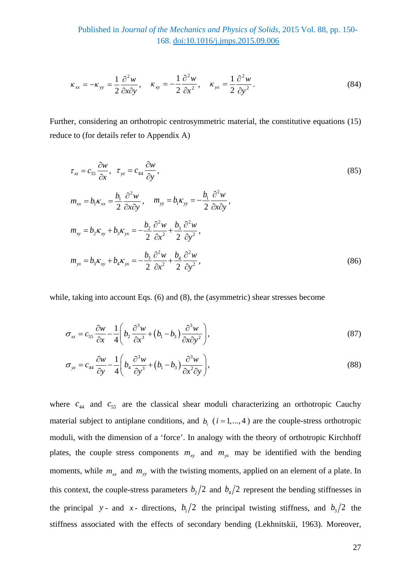Published in *Journal of the Mechanics and Physics of Solids*, 2015 Vol. 88, pp. 150- 168. [doi:10.1016/j.jmps.2015.09.006](http://dx.doi.org/10.1016/j.jmps.2015.09.006)

$$
\kappa_{xx} = -\kappa_{yy} = \frac{1}{2} \frac{\partial^2 w}{\partial x \partial y}, \quad \kappa_{xy} = -\frac{1}{2} \frac{\partial^2 w}{\partial x^2}, \quad \kappa_{yx} = \frac{1}{2} \frac{\partial^2 w}{\partial y^2}.
$$
 (84)

Further, considering an orthotropic centrosymmetric material, the constitutive equations (15) reduce to (for details refer to Appendix A)

$$
\tau_{xz} = c_{55} \frac{\partial w}{\partial x}, \quad \tau_{yz} = c_{44} \frac{\partial w}{\partial y},
$$
\n
$$
m_{xx} = b_1 \kappa_{xx} = \frac{b_1}{2} \frac{\partial^2 w}{\partial x \partial y}, \quad m_{yy} = b_1 \kappa_{yy} = -\frac{b_1}{2} \frac{\partial^2 w}{\partial x \partial y},
$$
\n
$$
m_{xy} = b_2 \kappa_{xy} + b_3 \kappa_{yx} = -\frac{b_2}{2} \frac{\partial^2 w}{\partial x^2} + \frac{b_3}{2} \frac{\partial^2 w}{\partial y^2},
$$
\n
$$
m_{yx} = b_3 \kappa_{xy} + b_4 \kappa_{yx} = -\frac{b_3}{2} \frac{\partial^2 w}{\partial x^2} + \frac{b_4}{2} \frac{\partial^2 w}{\partial y^2},
$$
\n(86)

while, taking into account Eqs. (6) and (8), the (asymmetric) shear stresses become

$$
\sigma_{xz} = c_{55} \frac{\partial w}{\partial x} - \frac{1}{4} \left( b_2 \frac{\partial^3 w}{\partial x^3} + (b_1 - b_3) \frac{\partial^3 w}{\partial x \partial y^2} \right),\tag{87}
$$

$$
\sigma_{yz} = c_{44} \frac{\partial w}{\partial y} - \frac{1}{4} \left( b_4 \frac{\partial^3 w}{\partial y^3} + (b_1 - b_3) \frac{\partial^3 w}{\partial x^2 \partial y} \right),\tag{88}
$$

where  $c_{44}$  and  $c_{55}$  are the classical shear moduli characterizing an orthotropic Cauchy material subject to antiplane conditions, and  $b_i$  ( $i = 1, \ldots, 4$ ) are the couple-stress orthotropic moduli, with the dimension of a 'force'. In analogy with the theory of orthotropic Kirchhoff plates, the couple stress components  $m_{xy}$  and  $m_{yx}$  may be identified with the bending moments, while  $m_{xx}$  and  $m_{yy}$  with the twisting moments, applied on an element of a plate. In this context, the couple-stress parameters  $b_2/2$  and  $b_4/2$  represent the bending stiffnesses in the principal *y* - and *x* - directions,  $b_1/2$  the principal twisting stiffness, and  $b_3/2$  the stiffness associated with the effects of secondary bending (Lekhnitskii, 1963). Moreover,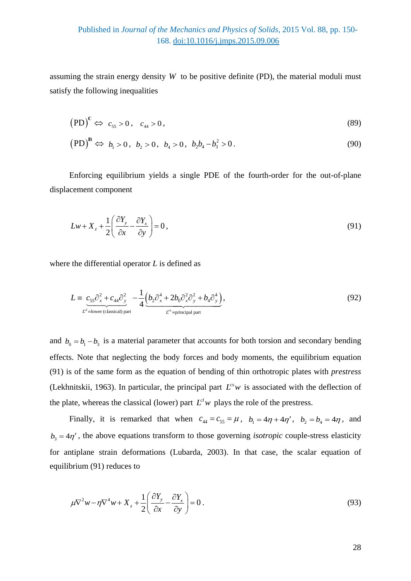assuming the strain energy density *W* to be positive definite (PD), the material moduli must satisfy the following inequalities

$$
(PD)^{c} \Leftrightarrow c_{55} > 0, \quad c_{44} > 0,
$$
\n
$$
(89)
$$

$$
(PD)^{B} \Leftrightarrow b_1 > 0, b_2 > 0, b_4 > 0, b_2b_4 - b_3^2 > 0.
$$
\n(90)

Enforcing equilibrium yields a single PDE of the fourth-order for the out-of-plane displacement component

$$
Lw + X_z + \frac{1}{2} \left( \frac{\partial Y_y}{\partial x} - \frac{\partial Y_x}{\partial y} \right) = 0, \tag{91}
$$

where the differential operator *L* is defined as

$$
L \equiv \underbrace{c_{55}\partial_x^2 + c_{44}\partial_y^2}_{L^{\text{cl}} = \text{lower (classical) part}} - \frac{1}{4} \underbrace{\left(b_2\partial_x^4 + 2b_0\partial_x^2\partial_y^2 + b_4\partial_y^4\right)}_{L^{\text{cr}} = \text{principal part}},
$$
\n
$$
(92)
$$

and  $b_0 = b_1 - b_3$  is a material parameter that accounts for both torsion and secondary bending effects. Note that neglecting the body forces and body moments, the equilibrium equation (91) is of the same form as the equation of bending of thin orthotropic plates with *prestress* (Lekhnitskii, 1963). In particular, the principal part  $L^{cs}w$  is associated with the deflection of the plate, whereas the classical (lower) part  $L^{cl}w$  plays the role of the prestress.

Finally, it is remarked that when  $c_{44} = c_{55} = \mu$ ,  $b_1 = 4\eta + 4\eta'$ ,  $b_2 = b_4 = 4\eta$ , and  $b_3 = 4\eta'$ , the above equations transform to those governing *isotropic* couple-stress elasticity for antiplane strain deformations (Lubarda, 2003). In that case, the scalar equation of equilibrium (91) reduces to

$$
\mu \nabla^2 w - \eta \nabla^4 w + X_z + \frac{1}{2} \left( \frac{\partial Y_y}{\partial x} - \frac{\partial Y_x}{\partial y} \right) = 0.
$$
\n(93)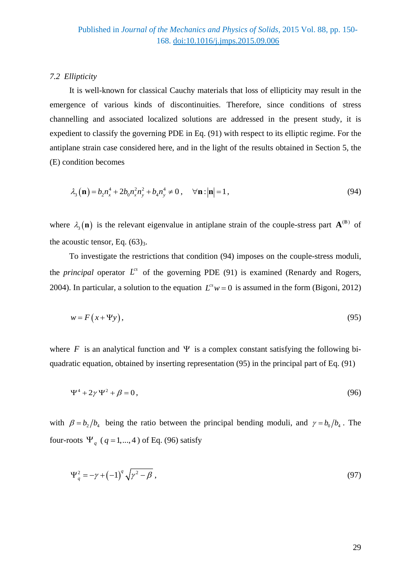#### *7.2 Ellipticity*

It is well-known for classical Cauchy materials that loss of ellipticity may result in the emergence of various kinds of discontinuities. Therefore, since conditions of stress channelling and associated localized solutions are addressed in the present study, it is expedient to classify the governing PDE in Eq. (91) with respect to its elliptic regime. For the antiplane strain case considered here, and in the light of the results obtained in Section 5, the (E) condition becomes

$$
\lambda_3(\mathbf{n}) = b_2 n_x^4 + 2b_0 n_x^2 n_y^2 + b_4 n_y^4 \neq 0, \quad \forall \mathbf{n} : |\mathbf{n}| = 1,
$$
\n(94)

where  $\lambda_3(\mathbf{n})$  is the relevant eigenvalue in antiplane strain of the couple-stress part  $\mathbf{A}^{(B)}$  of the acoustic tensor, Eq.  $(63)_3$ .

To investigate the restrictions that condition (94) imposes on the couple-stress moduli, the *principal* operator  $L^{cs}$  of the governing PDE (91) is examined (Renardy and Rogers, 2004). In particular, a solution to the equation  $L^s w = 0$  is assumed in the form (Bigoni, 2012)

$$
w = F(x + \Psi y),\tag{95}
$$

where *F* is an analytical function and  $\Psi$  is a complex constant satisfying the following biquadratic equation, obtained by inserting representation (95) in the principal part of Eq. (91)

$$
\Psi^4 + 2\gamma \Psi^2 + \beta = 0, \qquad (96)
$$

with  $\beta = b_2/b_4$  being the ratio between the principal bending moduli, and  $\gamma = b_0/b_4$ . The four-roots  $\Psi_q$  ( $q = 1,...,4$ ) of Eq. (96) satisfy

$$
\Psi_q^2 = -\gamma + \left(-1\right)^q \sqrt{\gamma^2 - \beta} \tag{97}
$$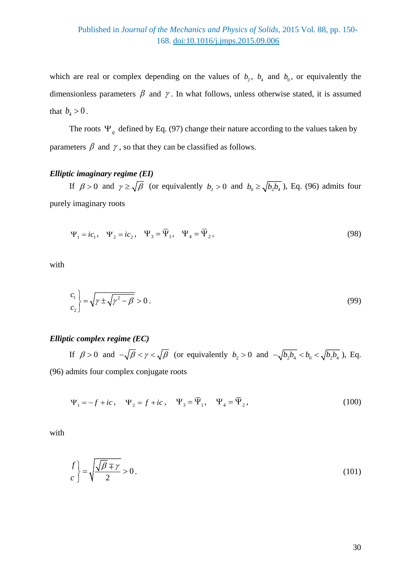which are real or complex depending on the values of  $b_2$ ,  $b_4$  and  $b_0$ , or equivalently the dimensionless parameters  $\beta$  and  $\gamma$ . In what follows, unless otherwise stated, it is assumed that  $b_4 > 0$ .

The roots  $\Psi_q$  defined by Eq. (97) change their nature according to the values taken by parameters  $\beta$  and  $\gamma$ , so that they can be classified as follows.

## *Elliptic imaginary regime (EI)*

If  $\beta > 0$  and  $\gamma \ge \sqrt{\beta}$  (or equivalently  $b_2 > 0$  and  $b_0 \ge \sqrt{b_2 b_4}$ ), Eq. (96) admits four purely imaginary roots

$$
\Psi_1 = ic_1, \quad \Psi_2 = ic_2, \quad \Psi_3 = \overline{\Psi}_1, \quad \Psi_4 = \overline{\Psi}_2,
$$
\n(98)

with

$$
\begin{aligned}\n\begin{pmatrix} c_1 \\ c_2 \end{pmatrix} &= \sqrt{\gamma \pm \sqrt{\gamma^2 - \beta}} > 0 \,.\n\end{aligned} \tag{99}
$$

# *Elliptic complex regime (EC)*

If  $\beta > 0$  and  $-\sqrt{\beta} < \gamma < \sqrt{\beta}$  (or equivalently  $b_2 > 0$  and  $-\sqrt{b_2b_4} < b_0 < \sqrt{b_2b_4}$ ), Eq. (96) admits four complex conjugate roots

$$
\Psi_1 = -f + ic, \quad \Psi_2 = f + ic, \quad \Psi_3 = \overline{\Psi}_1, \quad \Psi_4 = \overline{\Psi}_2,
$$
\n(100)

with

$$
\begin{aligned} f \\ c \end{aligned} = \sqrt{\frac{\sqrt{\beta} \mp \gamma}{2}} > 0. \tag{101}
$$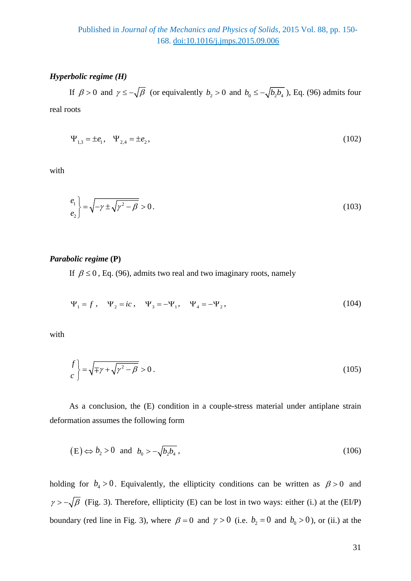## *Hyperbolic regime (H)*

If  $\beta > 0$  and  $\gamma \le -\sqrt{\beta}$  (or equivalently  $b_2 > 0$  and  $b_0 \le -\sqrt{b_2 b_4}$ ), Eq. (96) admits four real roots

$$
\Psi_{1,3} = \pm e_1, \quad \Psi_{2,4} = \pm e_2,\tag{102}
$$

with

$$
\begin{aligned} \frac{e_1}{e_2} &= \sqrt{-\gamma \pm \sqrt{\gamma^2 - \beta}} > 0. \end{aligned} \tag{103}
$$

#### *Parabolic regime* **(P)**

If  $\beta \le 0$ , Eq. (96), admits two real and two imaginary roots, namely

$$
\Psi_1 = f, \quad \Psi_2 = ic, \quad \Psi_3 = -\Psi_1, \quad \Psi_4 = -\Psi_2,
$$
\n(104)

with

$$
\begin{aligned} \frac{f}{c} \end{aligned} = \sqrt{\mp \gamma + \sqrt{\gamma^2 - \beta}} > 0 \,. \tag{105}
$$

As a conclusion, the (E) condition in a couple-stress material under antiplane strain deformation assumes the following form

$$
(E) \Leftrightarrow b_2 > 0 \quad \text{and} \quad b_0 > -\sqrt{b_2 b_4} \tag{106}
$$

holding for  $b_4 > 0$ . Equivalently, the ellipticity conditions can be written as  $\beta > 0$  and  $\gamma > -\sqrt{\beta}$  (Fig. 3). Therefore, ellipticity (E) can be lost in two ways: either (i.) at the (EI/P) boundary (red line in Fig. 3), where  $\beta = 0$  and  $\gamma > 0$  (i.e.  $b_2 = 0$  and  $b_0 > 0$ ), or (ii.) at the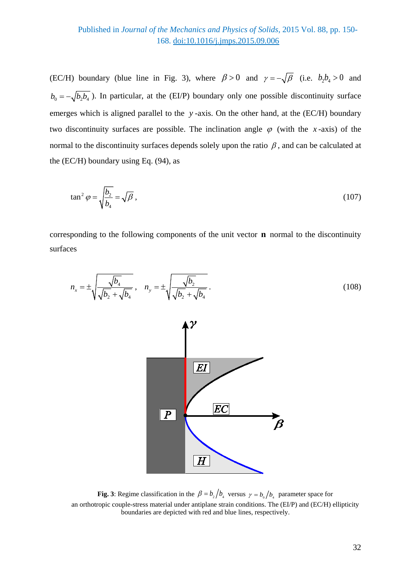(EC/H) boundary (blue line in Fig. 3), where  $\beta > 0$  and  $\gamma = -\sqrt{\beta}$  (i.e.  $b_2b_4 > 0$  and  $b_0 = -\sqrt{b_2 b_4}$ ). In particular, at the (EI/P) boundary only one possible discontinuity surface emerges which is aligned parallel to the *y*-axis. On the other hand, at the (EC/H) boundary two discontinuity surfaces are possible. The inclination angle  $\varphi$  (with the *x*-axis) of the normal to the discontinuity surfaces depends solely upon the ratio  $\beta$ , and can be calculated at the (EC/H) boundary using Eq. (94), as

$$
\tan^2 \varphi = \sqrt{\frac{b_2}{b_4}} = \sqrt{\beta} \,,\tag{107}
$$

corresponding to the following components of the unit vector **n** normal to the discontinuity surfaces



**Fig. 3**: Regime classification in the  $\beta = b_2/b_4$  versus  $\gamma = b_0/b_4$  parameter space for an orthotropic couple-stress material under antiplane strain conditions. The (EI/P) and (EC/H) ellipticity boundaries are depicted with red and blue lines, respectively.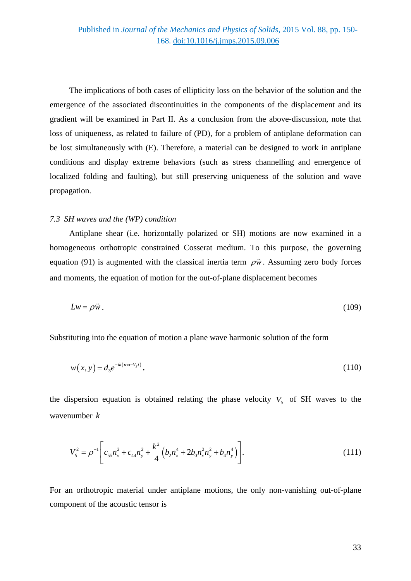The implications of both cases of ellipticity loss on the behavior of the solution and the emergence of the associated discontinuities in the components of the displacement and its gradient will be examined in Part II. As a conclusion from the above-discussion, note that loss of uniqueness, as related to failure of (PD), for a problem of antiplane deformation can be lost simultaneously with (E). Therefore, a material can be designed to work in antiplane conditions and display extreme behaviors (such as stress channelling and emergence of localized folding and faulting), but still preserving uniqueness of the solution and wave propagation.

#### *7.3 SH waves and the (WP) condition*

Antiplane shear (i.e. horizontally polarized or SH) motions are now examined in a homogeneous orthotropic constrained Cosserat medium. To this purpose, the governing equation (91) is augmented with the classical inertia term  $\rho \ddot{w}$ . Assuming zero body forces and moments, the equation of motion for the out-of-plane displacement becomes

$$
Lw = \rho \ddot{w} \,. \tag{109}
$$

Substituting into the equation of motion a plane wave harmonic solution of the form

$$
w(x, y) = d_3 e^{-ik(x - y_0 t)},
$$
\n(110)

the dispersion equation is obtained relating the phase velocity  $V<sub>s</sub>$  of SH waves to the wavenumber *k*

$$
V_S^2 = \rho^{-1} \left[ c_{55} n_x^2 + c_{44} n_y^2 + \frac{k^2}{4} \left( b_2 n_x^4 + 2b_0 n_x^2 n_y^2 + b_4 n_y^4 \right) \right].
$$
 (111)

For an orthotropic material under antiplane motions, the only non-vanishing out-of-plane component of the acoustic tensor is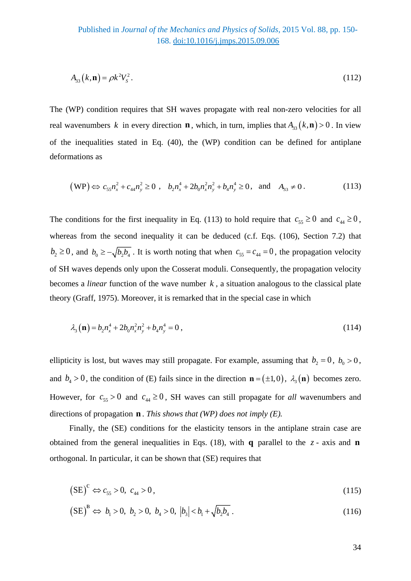$$
A_{33}(k, \mathbf{n}) = \rho k^2 V_s^2. \tag{112}
$$

The (WP) condition requires that SH waves propagate with real non-zero velocities for all real wavenumbers *k* in every direction **n**, which, in turn, implies that  $A_{33}(k, \mathbf{n}) > 0$ . In view of the inequalities stated in Eq. (40), the (WP) condition can be defined for antiplane deformations as

$$
(WP) \Leftrightarrow c_{55}n_x^2 + c_{44}n_y^2 \ge 0 \, , \, b_2n_x^4 + 2b_0n_x^2n_y^2 + b_4n_y^4 \ge 0, \text{ and } A_{33} \ne 0. \tag{113}
$$

The conditions for the first inequality in Eq. (113) to hold require that  $c_{55} \ge 0$  and  $c_{44} \ge 0$ , whereas from the second inequality it can be deduced (c.f. Eqs. (106), Section 7.2) that  $b_2 \ge 0$ , and  $b_0 \ge -\sqrt{b_2 b_4}$ . It is worth noting that when  $c_{55} = c_{44} = 0$ , the propagation velocity of SH waves depends only upon the Cosserat moduli. Consequently, the propagation velocity becomes a *linear* function of the wave number *k* , a situation analogous to the classical plate theory (Graff, 1975). Moreover, it is remarked that in the special case in which

$$
\lambda_3(\mathbf{n}) = b_2 n_x^4 + 2b_0 n_x^2 n_y^2 + b_4 n_y^4 = 0 \,, \tag{114}
$$

ellipticity is lost, but waves may still propagate. For example, assuming that  $b_2 = 0$ ,  $b_0 > 0$ , and  $b_4 > 0$ , the condition of (E) fails since in the direction  $\mathbf{n} = (\pm 1, 0)$ ,  $\lambda_3(\mathbf{n})$  becomes zero. However, for  $c_{55} > 0$  and  $c_{44} \ge 0$ , SH waves can still propagate for *all* wavenumbers and directions of propagation **n** . *This shows that (WP) does not imply (E).*

Finally, the (SE) conditions for the elasticity tensors in the antiplane strain case are obtained from the general inequalities in Eqs. (18), with **q** parallel to the *z* - axis and **n** orthogonal. In particular, it can be shown that (SE) requires that

$$
\left(\text{SE}\right)^{\mathbb{C}} \Leftrightarrow c_{55} > 0, \ c_{44} > 0,\tag{115}
$$

$$
\left(\text{SE}\right)^{\text{B}} \Leftrightarrow b_1 > 0, \ b_2 > 0, \ b_4 > 0, \ \left|b_3\right| < b_1 + \sqrt{b_2 b_4} \ . \tag{116}
$$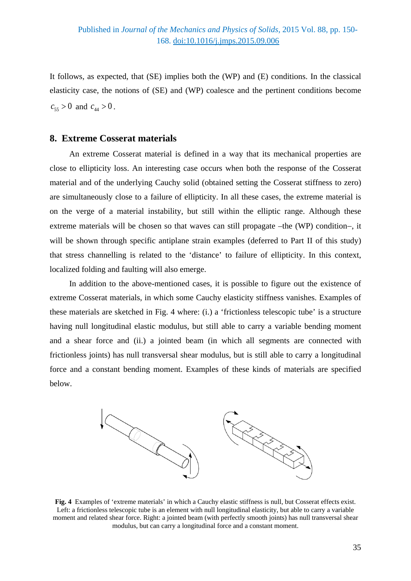It follows, as expected, that (SE) implies both the (WP) and (E) conditions. In the classical elasticity case, the notions of (SE) and (WP) coalesce and the pertinent conditions become  $c_{55} > 0$  and  $c_{44} > 0$ .

## **8. Extreme Cosserat materials**

An extreme Cosserat material is defined in a way that its mechanical properties are close to ellipticity loss. An interesting case occurs when both the response of the Cosserat material and of the underlying Cauchy solid (obtained setting the Cosserat stiffness to zero) are simultaneously close to a failure of ellipticity. In all these cases, the extreme material is on the verge of a material instability, but still within the elliptic range. Although these extreme materials will be chosen so that waves can still propagate –the (WP) condition−, it will be shown through specific antiplane strain examples (deferred to Part II of this study) that stress channelling is related to the 'distance' to failure of ellipticity. In this context, localized folding and faulting will also emerge.

In addition to the above-mentioned cases, it is possible to figure out the existence of extreme Cosserat materials, in which some Cauchy elasticity stiffness vanishes. Examples of these materials are sketched in Fig. 4 where: (i.) a 'frictionless telescopic tube' is a structure having null longitudinal elastic modulus, but still able to carry a variable bending moment and a shear force and (ii.) a jointed beam (in which all segments are connected with frictionless joints) has null transversal shear modulus, but is still able to carry a longitudinal force and a constant bending moment. Examples of these kinds of materials are specified below.



**Fig. 4** Examples of 'extreme materials' in which a Cauchy elastic stiffness is null, but Cosserat effects exist. Left: a frictionless telescopic tube is an element with null longitudinal elasticity, but able to carry a variable moment and related shear force. Right: a jointed beam (with perfectly smooth joints) has null transversal shear modulus, but can carry a longitudinal force and a constant moment.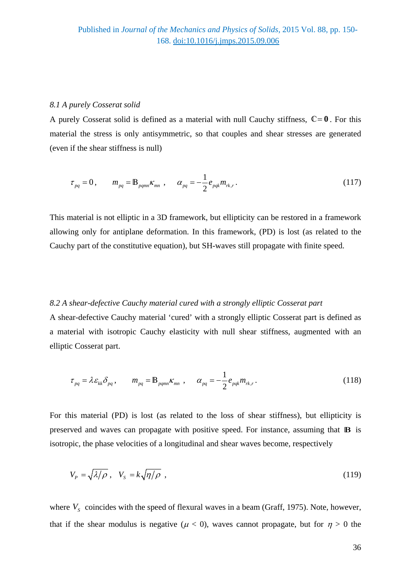#### *8.1 A purely Cosserat solid*

A purely Cosserat solid is defined as a material with null Cauchy stiffness,  $\mathbb{C} = \mathbf{0}$ . For this material the stress is only antisymmetric, so that couples and shear stresses are generated (even if the shear stiffness is null)

$$
\tau_{pq} = 0, \qquad m_{pq} = B_{pqmn} \kappa_{mn} , \qquad \alpha_{pq} = -\frac{1}{2} e_{pqk} m_{rk,r} . \tag{117}
$$

This material is not elliptic in a 3D framework, but ellipticity can be restored in a framework allowing only for antiplane deformation. In this framework, (PD) is lost (as related to the Cauchy part of the constitutive equation), but SH-waves still propagate with finite speed.

#### *8.2 A shear-defective Cauchy material cured with a strongly elliptic Cosserat part*

A shear-defective Cauchy material 'cured' with a strongly elliptic Cosserat part is defined as a material with isotropic Cauchy elasticity with null shear stiffness, augmented with an elliptic Cosserat part.

$$
\tau_{pq} = \lambda \varepsilon_{kk} \delta_{pq}, \qquad m_{pq} = \mathbb{B}_{pqmn} \kappa_{mn}, \qquad \alpha_{pq} = -\frac{1}{2} e_{pqk} m_{rk,r}.
$$
 (118)

For this material (PD) is lost (as related to the loss of shear stiffness), but ellipticity is preserved and waves can propagate with positive speed. For instance, assuming that **B** is isotropic, the phase velocities of a longitudinal and shear waves become, respectively

$$
V_P = \sqrt{\lambda/\rho} \ , \quad V_S = k\sqrt{\eta/\rho} \ , \tag{119}
$$

where  $V_s$  coincides with the speed of flexural waves in a beam (Graff, 1975). Note, however, that if the shear modulus is negative ( $\mu$  < 0), waves cannot propagate, but for  $\eta > 0$  the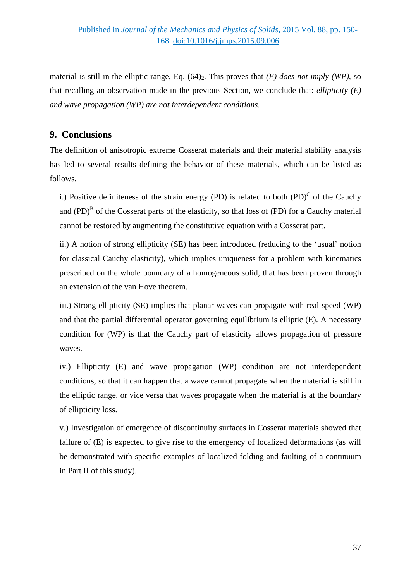material is still in the elliptic range, Eq.  $(64)_2$ . This proves that *(E) does not imply (WP)*, so that recalling an observation made in the previous Section, we conclude that: *ellipticity (E) and wave propagation (WP) are not interdependent conditions*.

# **9. Conclusions**

The definition of anisotropic extreme Cosserat materials and their material stability analysis has led to several results defining the behavior of these materials, which can be listed as follows.

i.) Positive definiteness of the strain energy (PD) is related to both  $(PD)^{\mathbb{C}}$  of the Cauchy and  $(PD)^B$  of the Cosserat parts of the elasticity, so that loss of  $(PD)$  for a Cauchy material cannot be restored by augmenting the constitutive equation with a Cosserat part.

ii.) A notion of strong ellipticity (SE) has been introduced (reducing to the 'usual' notion for classical Cauchy elasticity), which implies uniqueness for a problem with kinematics prescribed on the whole boundary of a homogeneous solid, that has been proven through an extension of the van Hove theorem.

iii.) Strong ellipticity (SE) implies that planar waves can propagate with real speed (WP) and that the partial differential operator governing equilibrium is elliptic (E). A necessary condition for (WP) is that the Cauchy part of elasticity allows propagation of pressure waves.

iv.) Ellipticity (E) and wave propagation (WP) condition are not interdependent conditions, so that it can happen that a wave cannot propagate when the material is still in the elliptic range, or vice versa that waves propagate when the material is at the boundary of ellipticity loss.

v.) Investigation of emergence of discontinuity surfaces in Cosserat materials showed that failure of (E) is expected to give rise to the emergency of localized deformations (as will be demonstrated with specific examples of localized folding and faulting of a continuum in Part II of this study).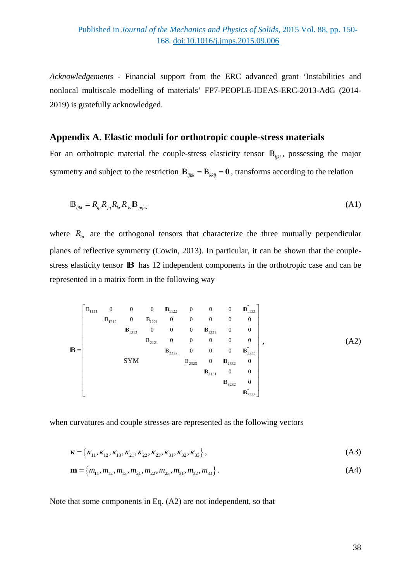*Acknowledgements* - Financial support from the ERC advanced grant 'Instabilities and nonlocal multiscale modelling of materials' FP7-PEOPLE-IDEAS-ERC-2013-AdG (2014- 2019) is gratefully acknowledged.

## **Appendix A. Elastic moduli for orthotropic couple-stress materials**

For an orthotropic material the couple-stress elasticity tensor  $\mathbb{B}_{ijkl}$ , possessing the major symmetry and subject to the restriction  $\mathbf{B}_{iikk} = \mathbf{B}_{kkij} = \mathbf{0}$ , transforms according to the relation

$$
\mathbf{B}_{ijkl} = R_{ip} R_{jq} R_{kr} R_{ls} \mathbf{B}_{pqrs} \tag{A1}
$$

where  $R_{ip}$  are the orthogonal tensors that characterize the three mutually perpendicular planes of reflective symmetry (Cowin, 2013). In particular, it can be shown that the couplestress elasticity tensor **B** has 12 independent components in the orthotropic case and can be represented in a matrix form in the following way

$$
\mathbf{B} = \begin{bmatrix}\n\mathbf{B}_{1111} & 0 & 0 & 0 & \mathbf{B}_{1122} & 0 & 0 & 0 & \mathbf{B}_{1133}^{\dagger} \\
\mathbf{B}_{1212} & 0 & \mathbf{B}_{1221} & 0 & 0 & 0 & 0 & 0 \\
& & & \mathbf{B}_{1313} & 0 & 0 & 0 & \mathbf{B}_{1331} & 0 & 0 \\
& & & & \mathbf{B}_{2121} & 0 & 0 & 0 & 0 & 0 \\
& & & & & \mathbf{B}_{2222} & 0 & 0 & 0 & \mathbf{B}_{2233}^{\dagger} \\
& & & & & \mathbf{B}_{2322} & 0 & \mathbf{B}_{2332} & 0 \\
& & & & & & \mathbf{B}_{3131} & 0 & 0 \\
& & & & & & \mathbf{B}_{3232} & 0 \\
& & & & & & & \mathbf{B}_{3333}\n\end{bmatrix},
$$
\n(A2)

when curvatures and couple stresses are represented as the following vectors

$$
\mathbf{K} = \{K_{11}, K_{12}, K_{13}, K_{21}, K_{22}, K_{23}, K_{31}, K_{32}, K_{33}\},\tag{A3}
$$

$$
\mathbf{m} = \{m_{11}, m_{12}, m_{13}, m_{21}, m_{22}, m_{23}, m_{31}, m_{32}, m_{33}\}.
$$
 (A4)

Note that some components in Eq. (A2) are not independent, so that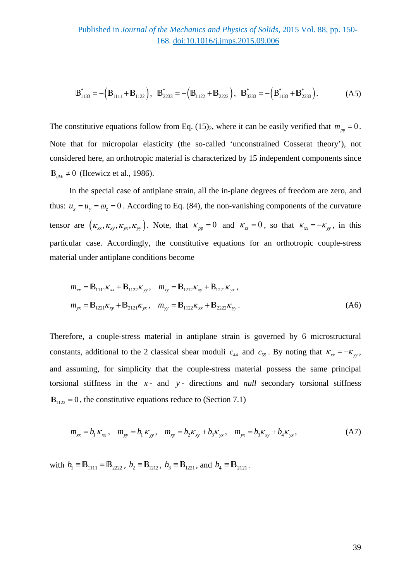$$
\mathbf{B}_{1133}^* = -(\mathbf{B}_{1111} + \mathbf{B}_{1122}), \ \ \mathbf{B}_{2233}^* = -(\mathbf{B}_{1122} + \mathbf{B}_{2222}), \ \ \mathbf{B}_{3333}^* = -(\mathbf{B}_{1133}^* + \mathbf{B}_{2233}^*).
$$
 (A5)

The constitutive equations follow from Eq. (15)<sub>2</sub>, where it can be easily verified that  $m_{pp} = 0$ . Note that for micropolar elasticity (the so-called 'unconstrained Cosserat theory'), not considered here, an orthotropic material is characterized by 15 independent components since  $\mathbb{B}_{iik} \neq 0$  (Ilcewicz et al., 1986).

In the special case of antiplane strain, all the in-plane degrees of freedom are zero, and thus:  $u_x = u_y = \omega_z = 0$ . According to Eq. (84), the non-vanishing components of the curvature tensor are  $(\kappa_x, \kappa_y, \kappa_y, \kappa_y)$ . Note, that  $\kappa_{pp} = 0$  and  $\kappa_z = 0$ , so that  $\kappa_x = -\kappa_y$ , in this particular case. Accordingly, the constitutive equations for an orthotropic couple-stress material under antiplane conditions become

$$
m_{xx} = \mathbb{B}_{1111} \kappa_{xx} + \mathbb{B}_{1122} \kappa_{yy}, \quad m_{xy} = \mathbb{B}_{1212} \kappa_{xy} + \mathbb{B}_{1221} \kappa_{yx},
$$
  

$$
m_{yx} = \mathbb{B}_{1221} \kappa_{xy} + \mathbb{B}_{2121} \kappa_{yx}, \quad m_{yy} = \mathbb{B}_{1122} \kappa_{xx} + \mathbb{B}_{2222} \kappa_{yy}.
$$
 (A6)

Therefore, a couple-stress material in antiplane strain is governed by 6 microstructural constants, additional to the 2 classical shear moduli  $c_{44}$  and  $c_{55}$ . By noting that  $\kappa_{xx} = -\kappa_{yy}$ , and assuming, for simplicity that the couple-stress material possess the same principal torsional stiffness in the *x* - and *y* - directions and *null* secondary torsional stiffness  $\mathbb{B}_{1122} = 0$ , the constitutive equations reduce to (Section 7.1)

$$
m_{xx} = b_1 K_{xx}, \quad m_{yy} = b_1 K_{yy}, \quad m_{xy} = b_2 K_{xy} + b_3 K_{yx}, \quad m_{yx} = b_3 K_{xy} + b_4 K_{yx}, \tag{A7}
$$

with  $b_1 \equiv B_{1111} = B_{2222}$ ,  $b_2 \equiv B_{1212}$ ,  $b_3 \equiv B_{1221}$ , and  $b_4 \equiv B_{2121}$ .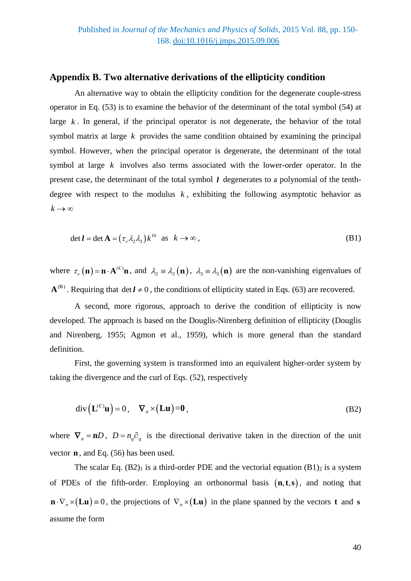## **Appendix B. Two alternative derivations of the ellipticity condition**

An alternative way to obtain the ellipticity condition for the degenerate couple-stress operator in Eq. (53) is to examine the behavior of the determinant of the total symbol (54) at large  $k$ . In general, if the principal operator is not degenerate, the behavior of the total symbol matrix at large *k* provides the same condition obtained by examining the principal symbol. However, when the principal operator is degenerate, the determinant of the total symbol at large *k* involves also terms associated with the lower-order operator. In the present case, the determinant of the total symbol *l* degenerates to a polynomial of the tenthdegree with respect to the modulus  $k$ , exhibiting the following asymptotic behavior as  $k \rightarrow \infty$ 

$$
\det \boldsymbol{l} = \det \mathbf{A} = (\tau_{v} \lambda_{2} \lambda_{3}) k^{10} \text{ as } k \to \infty ,
$$
 (B1)

where  $\tau_{\nu}(\mathbf{n}) = \mathbf{n} \cdot \mathbf{A}^{(\mathbb{C})}\mathbf{n}$ , and  $\lambda_2 = \lambda_2(\mathbf{n})$ ,  $\lambda_3 = \lambda_3(\mathbf{n})$  are the non-vanishing eigenvalues of  ${\bf A}^{(B)}$ . Requiring that det  $l \neq 0$ , the conditions of ellipticity stated in Eqs. (63) are recovered.

A second, more rigorous, approach to derive the condition of ellipticity is now developed. The approach is based on the Douglis-Nirenberg definition of ellipticity (Douglis and Nirenberg, 1955; Agmon et al., 1959), which is more general than the standard definition.

First, the governing system is transformed into an equivalent higher-order system by taking the divergence and the curl of Eqs. (52), respectively

$$
\operatorname{div}\left(\mathbf{L}^{(\mathbb{C})}\mathbf{u}\right) = 0, \quad \nabla_n \times \left(\mathbf{L}\mathbf{u}\right) = \mathbf{0},\tag{B2}
$$

where  $\nabla_n = nD$ ,  $D = n_q \partial_q$  is the directional derivative taken in the direction of the unit vector **n** , and Eq. (56) has been used.

The scalar Eq.  $(B2)_1$  is a third-order PDE and the vectorial equation  $(B1)_2$  is a system of PDEs of the fifth-order. Employing an orthonormal basis  $(n, t, s)$ , and noting that  $\mathbf{n} \cdot \nabla_{n} \times (\mathbf{L} \mathbf{u}) = 0$ , the projections of  $\nabla_{n} \times (\mathbf{L} \mathbf{u})$  in the plane spanned by the vectors **t** and **s** assume the form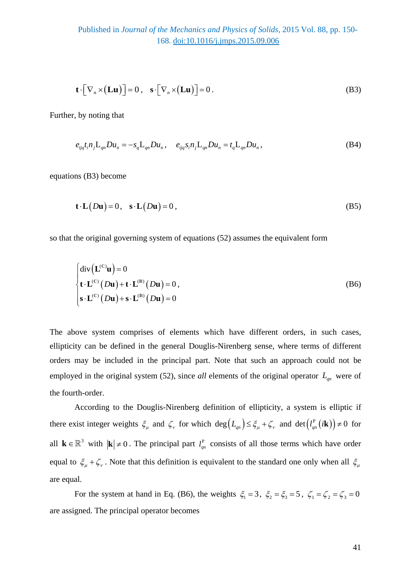$$
\mathbf{t} \cdot \big[ \nabla_n \times (\mathbf{L} \mathbf{u}) \big] = 0 \,, \quad \mathbf{s} \cdot \big[ \nabla_n \times (\mathbf{L} \mathbf{u}) \big] = 0 \,. \tag{B3}
$$

Further, by noting that

$$
e_{ijq}t_{i}n_{j}L_{qn}Du_{n} = -s_{q}L_{qn}Du_{n}, \quad e_{ijq}s_{i}n_{j}L_{qn}Du_{n} = t_{q}L_{qn}Du_{n}, \tag{B4}
$$

equations (B3) become

$$
\mathbf{t} \cdot \mathbf{L}(D\mathbf{u}) = 0, \quad \mathbf{s} \cdot \mathbf{L}(D\mathbf{u}) = 0, \tag{B5}
$$

so that the original governing system of equations (52) assumes the equivalent form

$$
\begin{cases}\n\text{div}\left(\mathbf{L}^{(c)}\mathbf{u}\right) = 0 \\
\mathbf{t} \cdot \mathbf{L}^{(c)}\left(D\mathbf{u}\right) + \mathbf{t} \cdot \mathbf{L}^{(B)}\left(D\mathbf{u}\right) = 0, \\
\mathbf{s} \cdot \mathbf{L}^{(c)}\left(D\mathbf{u}\right) + \mathbf{s} \cdot \mathbf{L}^{(B)}\left(D\mathbf{u}\right) = 0\n\end{cases}
$$
\n(B6)

The above system comprises of elements which have different orders, in such cases, ellipticity can be defined in the general Douglis-Nirenberg sense, where terms of different orders may be included in the principal part. Note that such an approach could not be employed in the original system (52), since *all* elements of the original operator  $L_{qn}$  were of the fourth-order.

According to the Douglis-Nirenberg definition of ellipticity, a system is elliptic if there exist integer weights  $\xi_{\mu}$  and  $\zeta_{\nu}$  for which  $\deg(L_{qn}) \leq \xi_{\mu} + \zeta_{\nu}$  and  $\det(L_{qn}^{\circ}(i\mathbf{k})) \neq 0$  for all  $\mathbf{k} \in \mathbb{R}^3$  with  $|\mathbf{k}| \neq 0$ . The principal part  $l_{qn}^P$  consists of all those terms which have order equal to  $\xi_{\mu} + \zeta_{\nu}$ . Note that this definition is equivalent to the standard one only when all  $\xi_{\mu}$ are equal.

For the system at hand in Eq. (B6), the weights  $\xi_1 = 3$ ,  $\xi_2 = \xi_3 = 5$ ,  $\xi_1 = \xi_2 = \xi_3 = 0$ are assigned. The principal operator becomes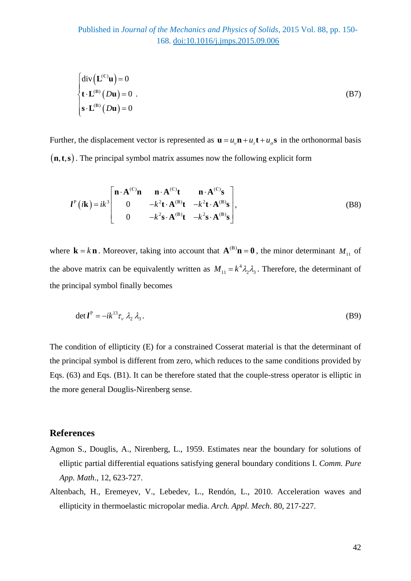$$
\begin{cases}\n\text{div}\left(\mathbf{L}^{(c)}\mathbf{u}\right) = 0 \\
\mathbf{t} \cdot \mathbf{L}^{(B)}\left(D\mathbf{u}\right) = 0 \\
\mathbf{s} \cdot \mathbf{L}^{(B)}\left(D\mathbf{u}\right) = 0\n\end{cases} (B7)
$$

Further, the displacement vector is represented as  $\mathbf{u} = u_{v} \mathbf{n} + u_{r} \mathbf{t} + u_{\sigma} \mathbf{s}$  in the orthonormal basis  $(n, t, s)$ . The principal symbol matrix assumes now the following explicit form

$$
l^{P}(ik) = ik^{3} \begin{bmatrix} \mathbf{n} \cdot \mathbf{A}^{(C)} \mathbf{n} & \mathbf{n} \cdot \mathbf{A}^{(C)} \mathbf{t} & \mathbf{n} \cdot \mathbf{A}^{(C)} \mathbf{s} \\ 0 & -k^{2} \mathbf{t} \cdot \mathbf{A}^{(B)} \mathbf{t} & -k^{2} \mathbf{t} \cdot \mathbf{A}^{(B)} \mathbf{s} \\ 0 & -k^{2} \mathbf{s} \cdot \mathbf{A}^{(B)} \mathbf{t} & -k^{2} \mathbf{s} \cdot \mathbf{A}^{(B)} \mathbf{s} \end{bmatrix},
$$
\n(B8)

where  $\mathbf{k} = k \mathbf{n}$ . Moreover, taking into account that  $\mathbf{A}^{(\mathbf{B})}\mathbf{n} = \mathbf{0}$ , the minor determinant  $M_{11}$  of the above matrix can be equivalently written as  $M_{11} = k^4 \lambda_2 \lambda_3$ . Therefore, the determinant of the principal symbol finally becomes

$$
\det l^{\mathcal{P}} = -ik^{13}\tau_{v} \lambda_{2} \lambda_{3}. \tag{B9}
$$

The condition of ellipticity (E) for a constrained Cosserat material is that the determinant of the principal symbol is different from zero, which reduces to the same conditions provided by Eqs. (63) and Eqs. (B1). It can be therefore stated that the couple-stress operator is elliptic in the more general Douglis-Nirenberg sense.

## **References**

- Agmon S., Douglis, A., Nirenberg, L., 1959. Estimates near the boundary for solutions of elliptic partial differential equations satisfying general boundary conditions I. *Comm. Pure App. Math*., 12, 623-727.
- Altenbach, H., Eremeyev, V., Lebedev, L., Rendón, L., 2010. Acceleration waves and ellipticity in thermoelastic micropolar media. *Arch. Appl. Mech*. 80, 217-227.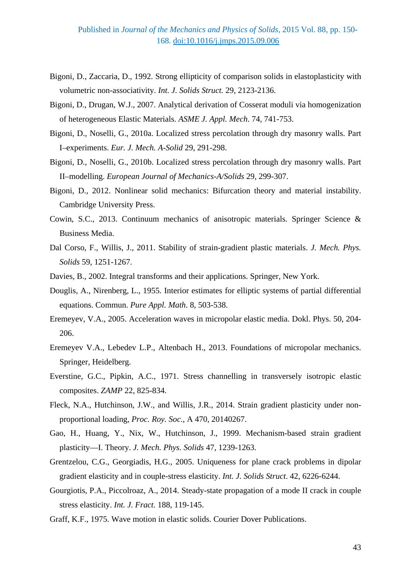- Bigoni, D., Zaccaria, D., 1992. Strong ellipticity of comparison solids in elastoplasticity with volumetric non-associativity. *Int. J. Solids Struct.* 29, 2123-2136.
- Bigoni, D., Drugan, W.J., 2007. Analytical derivation of Cosserat moduli via homogenization of heterogeneous Elastic Materials. *ASME J. Appl. Mech*. 74, 741-753.
- Bigoni, D., Noselli, G., 2010a. Localized stress percolation through dry masonry walls. Part I–experiments. *Eur. J. Mech. A-Solid* 29, 291-298.
- Bigoni, D., Noselli, G., 2010b. Localized stress percolation through dry masonry walls. Part II–modelling. *European Journal of Mechanics-A/Solids* 29, 299-307.
- <span id="page-42-0"></span>Bigoni, D., 2012. Nonlinear solid mechanics: Bifurcation theory and material instability. Cambridge University Press.
- Cowin, S.C., 2013. Continuum mechanics of anisotropic materials. Springer Science & Business Media.
- Dal Corso, F., Willis, J., 2011. Stability of strain-gradient plastic materials. *J. Mech. Phys. Solids* 59, 1251-1267.
- Davies, B., 2002. Integral transforms and their applications. Springer, New York.
- Douglis, A., Nirenberg, L., 1955. Interior estimates for elliptic systems of partial differential equations. Commun. *Pure Appl. Math*. 8, 503-538.
- Eremeyev, V.A., 2005. Acceleration waves in micropolar elastic media. Dokl. Phys. 50, 204- 206.
- Eremeyev V.A., Lebedev L.P., Altenbach H., 2013. Foundations of micropolar mechanics. Springer, Heidelberg.
- Everstine, G.C., Pipkin, A.C., 1971. Stress channelling in transversely isotropic elastic composites. *ZAMP* 22, 825-834.
- Fleck, N.A., Hutchinson, J.W., and Willis, J.R., 2014. Strain gradient plasticity under nonproportional loading, *Proc. Roy. Soc*., A 470, 20140267.
- Gao, H., Huang, Y., Nix, W., Hutchinson, J., 1999. Mechanism-based strain gradient plasticity—I. Theory. *J. Mech. Phys. Solids* 47, 1239-1263.
- Grentzelou, C.G., Georgiadis, H.G., 2005. Uniqueness for plane crack problems in dipolar gradient elasticity and in couple-stress elasticity. *Int. J. Solids Struct*. 42, 6226-6244.
- Gourgiotis, P.A., Piccolroaz, A., 2014. Steady-state propagation of a mode II crack in couple stress elasticity. *Int. J. Fract.* 188, 119-145.
- Graff, K.F., 1975. Wave motion in elastic solids. Courier Dover Publications.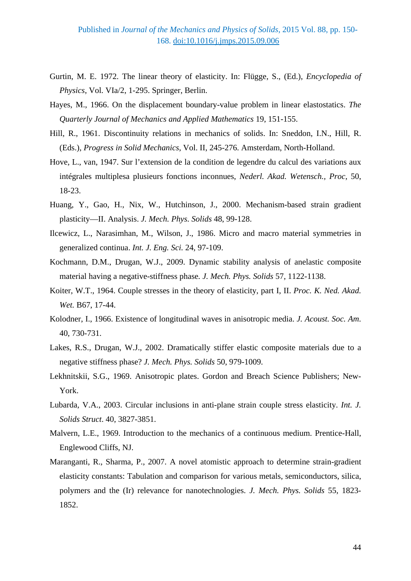- Gurtin, M. E. 1972. The linear theory of elasticity. In: Flügge, S., (Ed.), *Encyclopedia of Physics*, Vol. VIa/2, 1-295. Springer, Berlin.
- Hayes, M., 1966. On the displacement boundary-value problem in linear elastostatics. *The Quarterly Journal of Mechanics and Applied Mathematics* 19, 151-155.
- Hill, R., 1961. Discontinuity relations in mechanics of solids. In: Sneddon, I.N., Hill, R. (Eds.), *Progress in Solid Mechanics*, Vol. II, 245-276. Amsterdam, North-Holland.
- Hove, L., van, 1947. Sur l'extension de la condition de legendre du calcul des variations aux intégrales multiplesa plusieurs fonctions inconnues, *Nederl. Akad. Wetensch., Proc*, 50, 18-23.
- Huang, Y., Gao, H., Nix, W., Hutchinson, J., 2000. Mechanism-based strain gradient plasticity—II. Analysis. *J. Mech. Phys. Solids* 48, 99-128.
- Ilcewicz, L., Narasimhan, M., Wilson, J., 1986. Micro and macro material symmetries in generalized continua. *Int. J. Eng. Sci.* 24, 97-109.
- Kochmann, D.M., Drugan, W.J., 2009. Dynamic stability analysis of anelastic composite material having a negative-stiffness phase*. J. Mech. Phys. Solids* 57, 1122-1138.
- Koiter, W.T., 1964. Couple stresses in the theory of elasticity, part I, II. *Proc. K. Ned. Akad. Wet.* B67, 17-44.
- Kolodner, I., 1966. Existence of longitudinal waves in anisotropic media. *J. Acoust. Soc. Am*. 40, 730-731.
- Lakes, R.S., Drugan, W.J., 2002. Dramatically stiffer elastic composite materials due to a negative stiffness phase? *J. Mech. Phys. Solids* 50, 979-1009.
- Lekhnitskii, S.G., 1969. Anisotropic plates. Gordon and Breach Science Publishers; New-York.
- Lubarda, V.A., 2003. Circular inclusions in anti-plane strain couple stress elasticity. *Int. J. Solids Struct*. 40, 3827-3851.
- Malvern, L.E., 1969. Introduction to the mechanics of a continuous medium. Prentice-Hall, Englewood Cliffs, NJ.
- Maranganti, R., Sharma, P., 2007. A novel atomistic approach to determine strain-gradient elasticity constants: Tabulation and comparison for various metals, semiconductors, silica, polymers and the (Ir) relevance for nanotechnologies. *J. Mech. Phys. Solids* 55, 1823- 1852.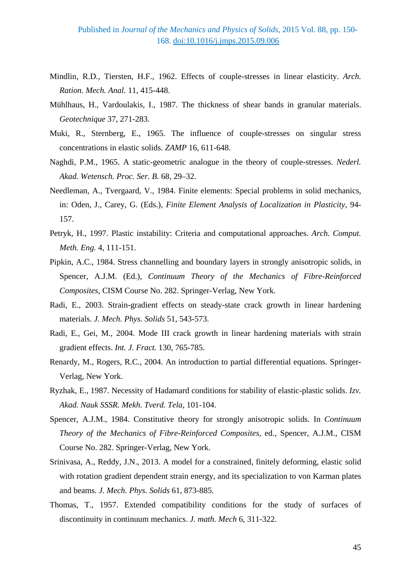- Mindlin, R.D., Tiersten, H.F., 1962. Effects of couple-stresses in linear elasticity. *Arch. Ration. Mech. Anal.* 11, 415-448.
- Mühlhaus, H., Vardoulakis, I., 1987. The thickness of shear bands in granular materials. *Geotechnique* 37, 271-283.
- Muki, R., Sternberg, E., 1965. The influence of couple-stresses on singular stress concentrations in elastic solids. *ZAMP* 16, 611-648.
- Naghdi, P.M., 1965. A static-geometric analogue in the theory of couple-stresses. *Nederl. Akad. Wetensch. Proc. Ser. B.* 68, 29–32.
- Needleman, A., Tvergaard, V., 1984. Finite elements: Special problems in solid mechanics, in: Oden, J., Carey, G. (Eds.), *Finite Element Analysis of Localization in Plasticity*, 94- 157.
- Petryk, H., 1997. Plastic instability: Criteria and computational approaches. *Arch. Comput. Meth. Eng.* 4, 111-151.
- Pipkin, A.C., 1984. Stress channelling and boundary layers in strongly anisotropic solids, in Spencer, A.J.M. (Ed.), *Continuum Theory of the Mechanics of Fibre-Reinforced Composites*, CISM Course No. 282. Springer-Verlag, New York.
- Radi, E., 2003. Strain-gradient effects on steady-state crack growth in linear hardening materials. *J. Mech. Phys. Solids* 51, 543-573.
- Radi, E., Gei, M., 2004. Mode III crack growth in linear hardening materials with strain gradient effects. *Int. J. Fract.* 130, 765-785.
- Renardy, M., Rogers, R.C., 2004. An introduction to partial differential equations. Springer-Verlag, New York.
- Ryzhak, E., 1987. Necessity of Hadamard conditions for stability of elastic-plastic solids. *Izv. Akad. Nauk SSSR. Mekh. Tverd. Tela*, 101-104.
- Spencer, A.J.M., 1984. Constitutive theory for strongly anisotropic solids. In *Continuum Theory of the Mechanics of Fibre-Reinforced Composites*, ed., Spencer, A.J.M., CISM Course No. 282. Springer-Verlag, New York.
- Srinivasa, A., Reddy, J.N., 2013. A model for a constrained, finitely deforming, elastic solid with rotation gradient dependent strain energy, and its specialization to von Karman plates and beams. *J. Mech. Phys. Solids* 61, 873-885.
- Thomas, T., 1957. Extended compatibility conditions for the study of surfaces of discontinuity in continuum mechanics. *J. math. Mech* 6, 311-322.